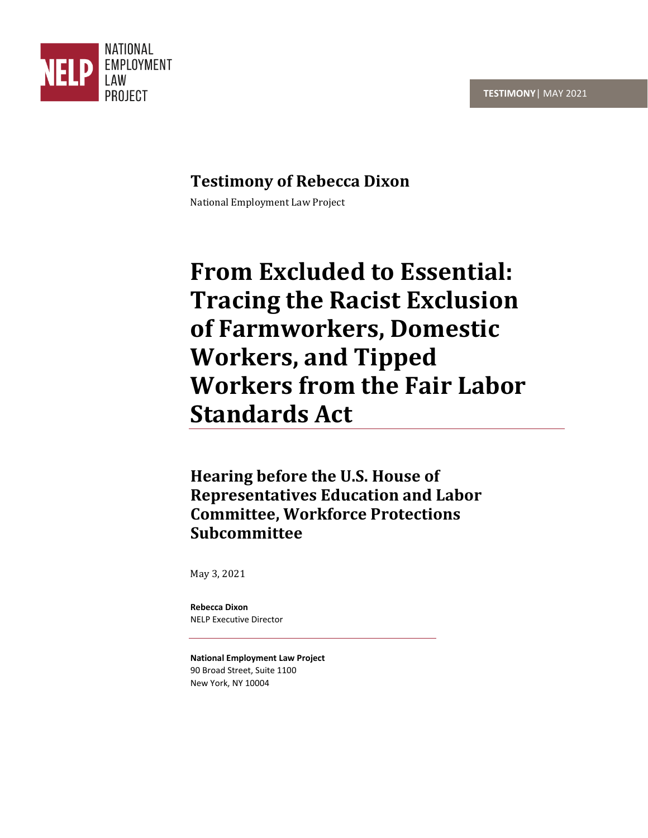

## **Testimony of Rebecca Dixon**

National Employment Law Project

# **From Excluded to Essential: Tracing the Racist Exclusion of Farmworkers, Domestic Workers, and Tipped Workers from the Fair Labor Standards Act**

**Hearing before the U.S. House of Representatives Education and Labor Committee, Workforce Protections Subcommittee**

May 3, 2021

**Rebecca Dixon** NELP Executive Director

**National Employment Law Project** 90 Broad Street, Suite 1100 New York, NY 10004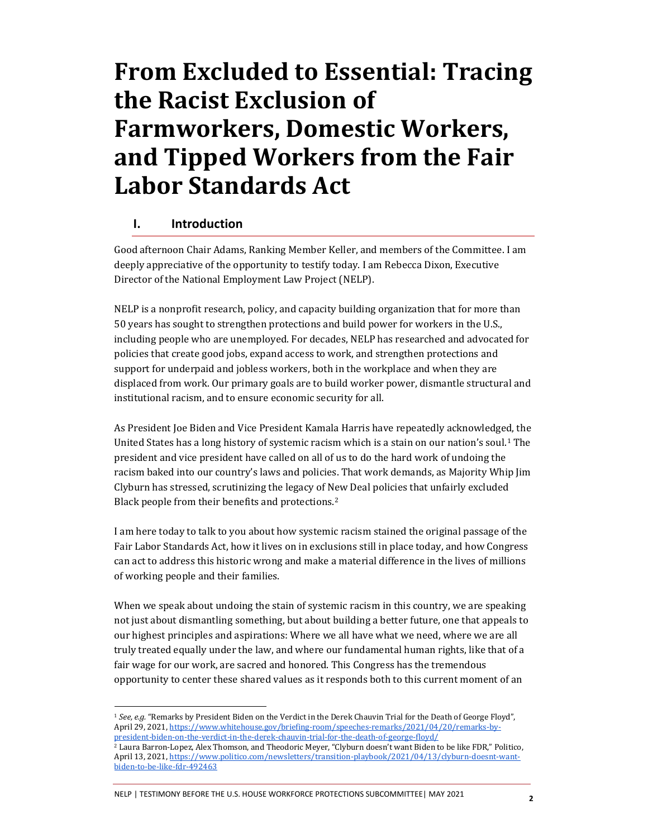# **From Excluded to Essential: Tracing the Racist Exclusion of Farmworkers, Domestic Workers, and Tipped Workers from the Fair Labor Standards Act**

## **I. Introduction**

Good afternoon Chair Adams, Ranking Member Keller, and members of the Committee. I am deeply appreciative of the opportunity to testify today. I am Rebecca Dixon, Executive Director of the National Employment Law Project (NELP).

NELP is a nonprofit research, policy, and capacity building organization that for more than 50 years has sought to strengthen protections and build power for workers in the U.S., including people who are unemployed. For decades, NELP has researched and advocated for policies that create good jobs, expand access to work, and strengthen protections and support for underpaid and jobless workers, both in the workplace and when they are displaced from work. Our primary goals are to build worker power, dismantle structural and institutional racism, and to ensure economic security for all.

As President Joe Biden and Vice President Kamala Harris have repeatedly acknowledged, the United States has a long history of systemic racism which is a stain on our nation's soul.<sup>1</sup> The president and vice president have called on all of us to do the hard work of undoing the racism baked into our country's laws and policies. That work demands, as Majority Whip Jim Clyburn has stressed, scrutinizing the legacy of New Deal policies that unfairly excluded Black people from their benefits and protections.<sup>2</sup>

I am here today to talk to you about how systemic racism stained the original passage of the Fair Labor Standards Act, how it lives on in exclusions still in place today, and how Congress can act to address this historic wrong and make a material difference in the lives of millions of working people and their families.

When we speak about undoing the stain of systemic racism in this country, we are speaking not just about dismantling something, but about building a better future, one that appeals to our highest principles and aspirations: Where we all have what we need, where we are all truly treated equally under the law, and where our fundamental human rights, like that of a fair wage for our work, are sacred and honored. This Congress has the tremendous opportunity to center these shared values as it responds both to this current moment of an

NELP | TESTIMONY BEFORE THE U.S. HOUSE WORKFORCE PROTECTIONS SUBCOMMITTEE| MAY 2021 **<sup>2</sup>**

<sup>1</sup> *See, e.g.* "Remarks by President Biden on the Verdict in the Derek Chauvin Trial for the Death of George Floyd", April 29, 2021[, https://www.whitehouse.gov/briefing-room/speeches-remarks/2021/04/20/remarks-by](https://www.whitehouse.gov/briefing-room/speeches-remarks/2021/04/20/remarks-by-president-biden-on-the-verdict-in-the-derek-chauvin-trial-for-the-death-of-george-floyd/)[president-biden-on-the-verdict-in-the-derek-chauvin-trial-for-the-death-of-george-floyd/](https://www.whitehouse.gov/briefing-room/speeches-remarks/2021/04/20/remarks-by-president-biden-on-the-verdict-in-the-derek-chauvin-trial-for-the-death-of-george-floyd/)

 $^2$  Laura Barron-Lopez, Alex Thomson, and Theodoric Meyer, "Clyburn doesn't want Biden to be like FDR," Politico, April 13, 2021, [https://www.politico.com/newsletters/transition-playbook/2021/04/13/clyburn-doesnt-want](https://www.politico.com/newsletters/transition-playbook/2021/04/13/clyburn-doesnt-want-biden-to-be-like-fdr-492463)[biden-to-be-like-fdr-492463](https://www.politico.com/newsletters/transition-playbook/2021/04/13/clyburn-doesnt-want-biden-to-be-like-fdr-492463)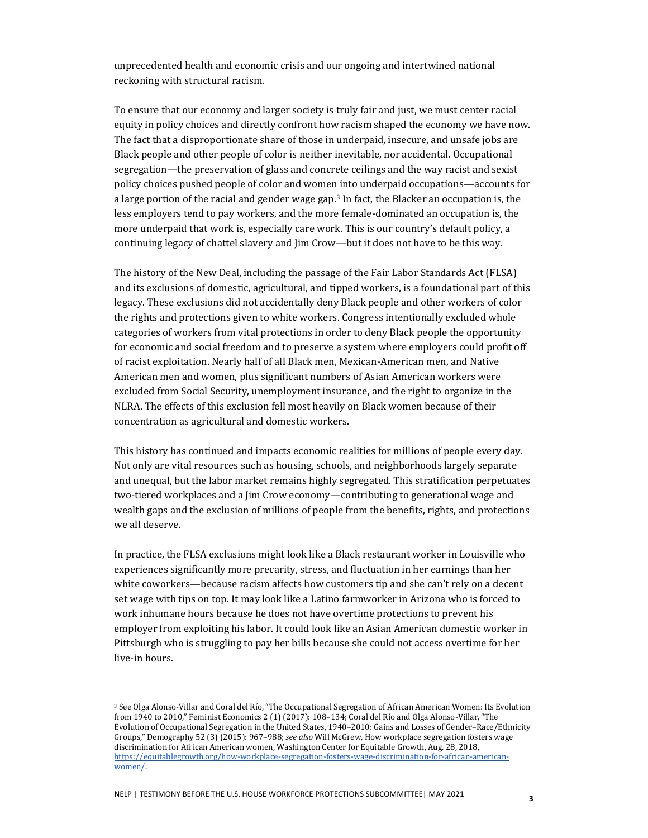unprecedented health and economic crisis and our ongoing and intertwined national reckoning with structural racism.

To ensure that our economy and larger society is truly fair and just, we must center racial equity in policy choices and directly confront how racism shaped the economy we have now. The fact that a disproportionate share of those in underpaid, insecure, and unsafe jobs are Black people and other people of color is neither inevitable, nor accidental. Occupational segregation—the preservation of glass and concrete ceilings and the way racist and sexist policy choices pushed people of color and women into underpaid occupations—accounts for a large portion of the racial and gender wage gap.<sup>3</sup> In fact, the Blacker an occupation is, the less employers tend to pay workers, and the more female-dominated an occupation is, the more underpaid that work is, especially care work. This is our country's default policy, a continuing legacy of chattel slavery and Jim Crow—but it does not have to be this way.

The history of the New Deal, including the passage of the Fair Labor Standards Act (FLSA) and its exclusions of domestic, agricultural, and tipped workers, is a foundational part of this legacy. These exclusions did not accidentally deny Black people and other workers of color the rights and protections given to white workers. Congress intentionally excluded whole categories of workers from vital protections in order to deny Black people the opportunity for economic and social freedom and to preserve a system where employers could profit off of racist exploitation. Nearly half of all Black men, Mexican-American men, and Native American men and women, plus significant numbers of Asian American workers were excluded from Social Security, unemployment insurance, and the right to organize in the NLRA. The effects of this exclusion fell most heavily on Black women because of their concentration as agricultural and domestic workers.

This history has continued and impacts economic realities for millions of people every day. Not only are vital resources such as housing, schools, and neighborhoods largely separate and unequal, but the labor market remains highly segregated. This stratification perpetuates two-tiered workplaces and a Jim Crow economy—contributing to generational wage and wealth gaps and the exclusion of millions of people from the benefits, rights, and protections we all deserve.

In practice, the FLSA exclusions might look like a Black restaurant worker in Louisville who experiences significantly more precarity, stress, and fluctuation in her earnings than her white coworkers—because racism affects how customers tip and she can't rely on a decent set wage with tips on top. It may look like a Latino farmworker in Arizona who is forced to work inhumane hours because he does not have overtime protections to prevent his employer from exploiting his labor. It could look like an Asian American domestic worker in Pittsburgh who is struggling to pay her bills because she could not access overtime for her live-in hours.

NELP | TESTIMONY BEFORE THE U.S. HOUSE WORKFORCE PROTECTIONS SUBCOMMITTEE| MAY 2021 **<sup>3</sup>**

<sup>3</sup> See Olga Alonso-Villar and Coral del Río, "The Occupational Segregation of African American Women: Its Evolution from 1940 to 2010," Feminist Economics 2 (1) (2017): 108–134; Coral del Río and Olga Alonso-Villar, "The Evolution of Occupational Segregation in the United States, 1940–2010: Gains and Losses of Gender–Race/Ethnicity Groups," Demography 52 (3) (2015): 967–988; *see also* Will McGrew, How workplace segregation fosters wage discrimination for African American women, Washington Center for Equitable Growth, Aug. 28, 2018, [https://equitablegrowth.org/how-workplace-segregation-fosters-wage-discrimination-for-african-american](https://equitablegrowth.org/how-workplace-segregation-fosters-wage-discrimination-for-african-american-women/)[women/.](https://equitablegrowth.org/how-workplace-segregation-fosters-wage-discrimination-for-african-american-women/)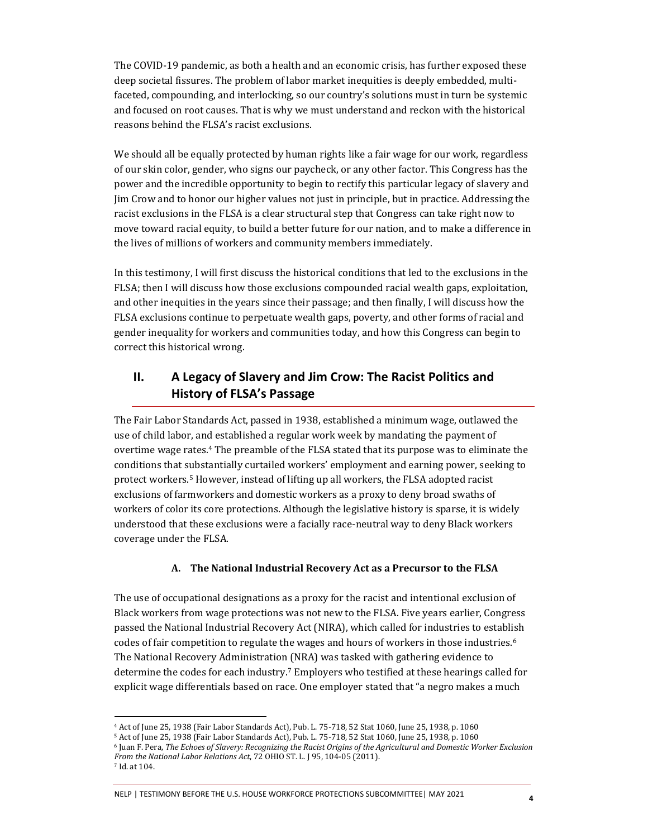The COVID-19 pandemic, as both a health and an economic crisis, has further exposed these deep societal fissures. The problem of labor market inequities is deeply embedded, multifaceted, compounding, and interlocking, so our country's solutions must in turn be systemic and focused on root causes. That is why we must understand and reckon with the historical reasons behind the FLSA's racist exclusions.

We should all be equally protected by human rights like a fair wage for our work, regardless of our skin color, gender, who signs our paycheck, or any other factor. This Congress has the power and the incredible opportunity to begin to rectify this particular legacy of slavery and Jim Crow and to honor our higher values not just in principle, but in practice. Addressing the racist exclusions in the FLSA is a clear structural step that Congress can take right now to move toward racial equity, to build a better future for our nation, and to make a difference in the lives of millions of workers and community members immediately.

In this testimony, I will first discuss the historical conditions that led to the exclusions in the FLSA; then I will discuss how those exclusions compounded racial wealth gaps, exploitation, and other inequities in the years since their passage; and then finally, I will discuss how the FLSA exclusions continue to perpetuate wealth gaps, poverty, and other forms of racial and gender inequality for workers and communities today, and how this Congress can begin to correct this historical wrong.

## **II. A Legacy of Slavery and Jim Crow: The Racist Politics and History of FLSA's Passage**

The Fair Labor Standards Act, passed in 1938, established a minimum wage, outlawed the use of child labor, and established a regular work week by mandating the payment of overtime wage rates.<sup>4</sup> The preamble of the FLSA stated that its purpose was to eliminate the conditions that substantially curtailed workers' employment and earning power, seeking to protect workers.<sup>5</sup> However, instead of lifting up all workers, the FLSA adopted racist exclusions of farmworkers and domestic workers as a proxy to deny broad swaths of workers of color its core protections. Although the legislative history is sparse, it is widely understood that these exclusions were a facially race-neutral way to deny Black workers coverage under the FLSA.

#### **A. The National Industrial Recovery Act as a Precursor to the FLSA**

The use of occupational designations as a proxy for the racist and intentional exclusion of Black workers from wage protections was not new to the FLSA. Five years earlier, Congress passed the National Industrial Recovery Act (NIRA), which called for industries to establish codes of fair competition to regulate the wages and hours of workers in those industries.<sup>6</sup> The National Recovery Administration (NRA) was tasked with gathering evidence to determine the codes for each industry.<sup>7</sup> Employers who testified at these hearings called for explicit wage differentials based on race. One employer stated that "a negro makes a much

<sup>4</sup> Act of June 25, 1938 (Fair Labor Standards Act), Pub. L. 75-718, 52 Stat 1060, June 25, 1938, p. 1060

<sup>5</sup> Act of June 25, 1938 (Fair Labor Standards Act), Pub. L. 75-718, 52 Stat 1060, June 25, 1938, p. 1060

<sup>6</sup> Juan F. Pera, *The Echoes of Slavery: Recognizing the Racist Origins of the Agricultural and Domestic Worker Exclusion From the National Labor Relations Act*, 72 OHIO ST. L. J 95, 104-05 (2011).

<sup>7</sup> Id. at 104.

NELP | TESTIMONY BEFORE THE U.S. HOUSE WORKFORCE PROTECTIONS SUBCOMMITTEE| MAY 2021 **<sup>4</sup>**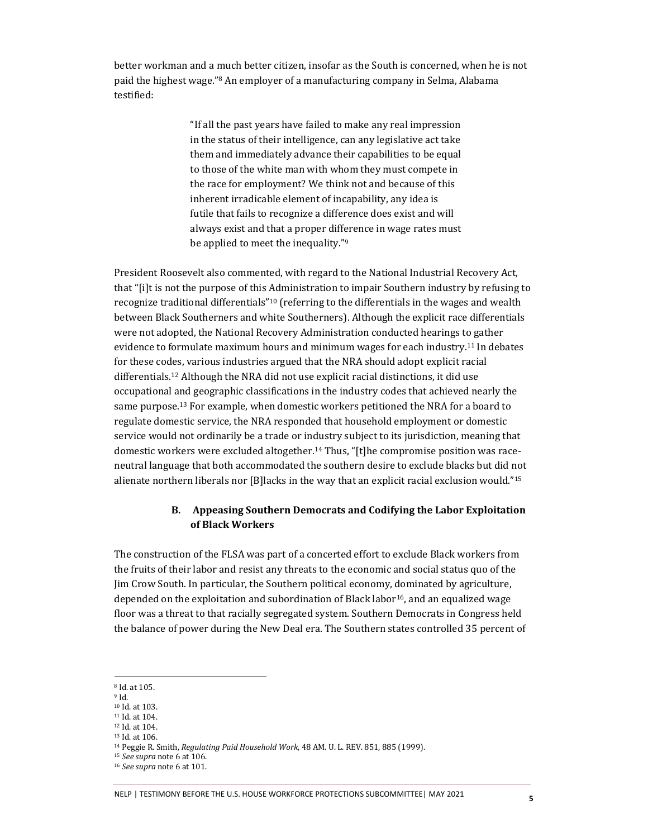better workman and a much better citizen, insofar as the South is concerned, when he is not paid the highest wage."<sup>8</sup> An employer of a manufacturing company in Selma, Alabama testified:

> "If all the past years have failed to make any real impression in the status of their intelligence, can any legislative act take them and immediately advance their capabilities to be equal to those of the white man with whom they must compete in the race for employment? We think not and because of this inherent irradicable element of incapability, any idea is futile that fails to recognize a difference does exist and will always exist and that a proper difference in wage rates must be applied to meet the inequality."<sup>9</sup>

President Roosevelt also commented, with regard to the National Industrial Recovery Act, that "[i]t is not the purpose of this Administration to impair Southern industry by refusing to recognize traditional differentials"<sup>10</sup> (referring to the differentials in the wages and wealth between Black Southerners and white Southerners). Although the explicit race differentials were not adopted, the National Recovery Administration conducted hearings to gather evidence to formulate maximum hours and minimum wages for each industry.<sup>11</sup> In debates for these codes, various industries argued that the NRA should adopt explicit racial differentials.<sup>12</sup> Although the NRA did not use explicit racial distinctions, it did use occupational and geographic classifications in the industry codes that achieved nearly the same purpose.<sup>13</sup> For example, when domestic workers petitioned the NRA for a board to regulate domestic service, the NRA responded that household employment or domestic service would not ordinarily be a trade or industry subject to its jurisdiction, meaning that domestic workers were excluded altogether.<sup>14</sup> Thus, "[t]he compromise position was raceneutral language that both accommodated the southern desire to exclude blacks but did not alienate northern liberals nor [B]lacks in the way that an explicit racial exclusion would."<sup>15</sup>

#### **B. Appeasing Southern Democrats and Codifying the Labor Exploitation of Black Workers**

The construction of the FLSA was part of a concerted effort to exclude Black workers from the fruits of their labor and resist any threats to the economic and social status quo of the Jim Crow South. In particular, the Southern political economy, dominated by agriculture, depended on the exploitation and subordination of Black labor<sup>16</sup>, and an equalized wage floor was a threat to that racially segregated system. Southern Democrats in Congress held the balance of power during the New Deal era. The Southern states controlled 35 percent of

<sup>8</sup> Id. at 105.

<sup>9</sup> Id.

<sup>10</sup> Id. at 103.

<sup>11</sup> Id. at 104. <sup>12</sup> Id. at 104.

<sup>13</sup> Id. at 106.

<sup>14</sup> Peggie R. Smith, *Regulating Paid Household Work*, 48 AM. U. L. REV. 851, 885 (1999).

<sup>15</sup> *See supra* note 6 at 106.

<sup>16</sup> *See supra* note 6 at 101.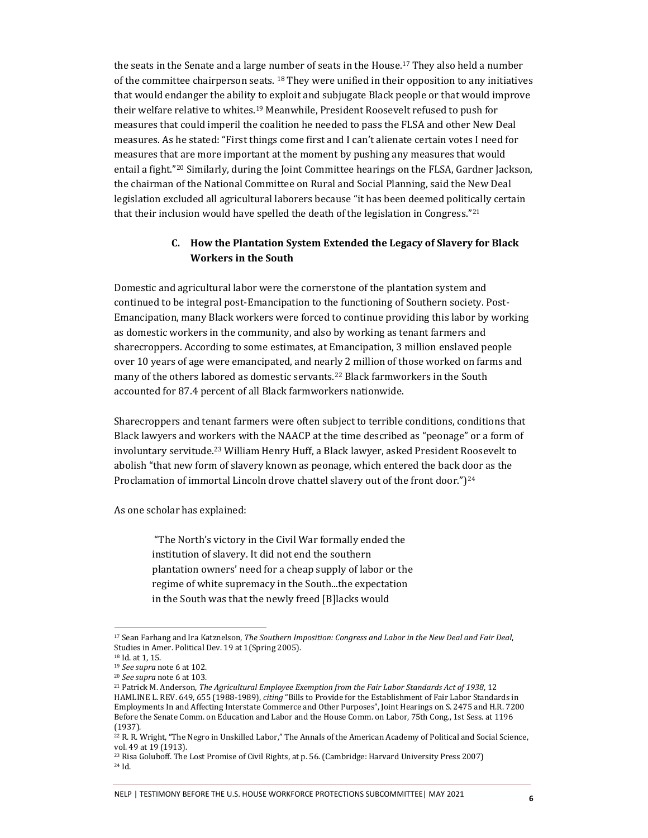the seats in the Senate and a large number of seats in the House.<sup>17</sup> They also held a number of the committee chairperson seats. <sup>18</sup> They were unified in their opposition to any initiatives that would endanger the ability to exploit and subjugate Black people or that would improve their welfare relative to whites.<sup>19</sup> Meanwhile, President Roosevelt refused to push for measures that could imperil the coalition he needed to pass the FLSA and other New Deal measures. As he stated: "First things come first and I can't alienate certain votes I need for measures that are more important at the moment by pushing any measures that would entail a fight."<sup>20</sup> Similarly, during the Joint Committee hearings on the FLSA, Gardner Jackson, the chairman of the National Committee on Rural and Social Planning, said the New Deal legislation excluded all agricultural laborers because "it has been deemed politically certain that their inclusion would have spelled the death of the legislation in Congress."<sup>21</sup>

#### **C. How the Plantation System Extended the Legacy of Slavery for Black Workers in the South**

Domestic and agricultural labor were the cornerstone of the plantation system and continued to be integral post-Emancipation to the functioning of Southern society. Post-Emancipation, many Black workers were forced to continue providing this labor by working as domestic workers in the community, and also by working as tenant farmers and sharecroppers. According to some estimates, at Emancipation, 3 million enslaved people over 10 years of age were emancipated, and nearly 2 million of those worked on farms and many of the others labored as domestic servants.<sup>22</sup> Black farmworkers in the South accounted for 87.4 percent of all Black farmworkers nationwide.

Sharecroppers and tenant farmers were often subject to terrible conditions, conditions that Black lawyers and workers with the NAACP at the time described as "peonage" or a form of involuntary servitude.<sup>23</sup> William Henry Huff, a Black lawyer, asked President Roosevelt to abolish "that new form of slavery known as peonage, which entered the back door as the Proclamation of immortal Lincoln drove chattel slavery out of the front door.")<sup>24</sup>

As one scholar has explained:

"The North's victory in the Civil War formally ended the institution of slavery. It did not end the southern plantation owners' need for a cheap supply of labor or the regime of white supremacy in the South...the expectation in the South was that the newly freed [B]lacks would

#### NELP | TESTIMONY BEFORE THE U.S. HOUSE WORKFORCE PROTECTIONS SUBCOMMITTEE| MAY 2021 **<sup>6</sup>**

<sup>17</sup> Sean Farhang and Ira Katznelson, *The Southern Imposition: Congress and Labor in the New Deal and Fair Deal*, Studies in Amer. Political Dev. 19 at 1(Spring 2005).

<sup>18</sup> Id. at 1, 15.

<sup>19</sup> *See supra* note 6 at 102.

<sup>20</sup> *See supra* note 6 at 103.

<sup>21</sup> Patrick M. Anderson, *The Agricultural Employee Exemption from the Fair Labor Standards Act of 1938*, 12 HAMLINE L. REV. 649, 655 (1988-1989), *citing* "Bills to Provide for the Establishment of Fair Labor Standards in Employments In and Affecting Interstate Commerce and Other Purposes", Joint Hearings on S. 2475 and H.R. 7200 Before the Senate Comm. on Education and Labor and the House Comm. on Labor, 75th Cong., 1st Sess. at 1196 (1937).

<sup>22</sup> R. R. Wright, "The Negro in Unskilled Labor," The Annals of the American Academy of Political and Social Science, vol. 49 at 19 (1913).

<sup>&</sup>lt;sup>23</sup> Risa Goluboff. The Lost Promise of Civil Rights, at p. 56. (Cambridge: Harvard University Press 2007) <sup>24</sup> Id.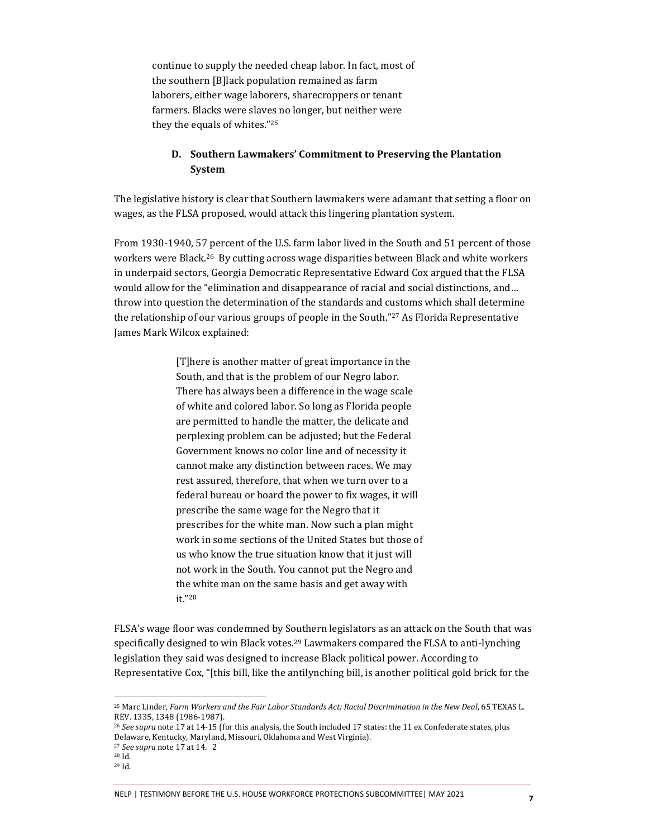continue to supply the needed cheap labor. In fact, most of the southern [B]lack population remained as farm laborers, either wage laborers, sharecroppers or tenant farmers. Blacks were slaves no longer, but neither were they the equals of whites."<sup>25</sup>

#### **D. Southern Lawmakers' Commitment to Preserving the Plantation System**

The legislative history is clear that Southern lawmakers were adamant that setting a floor on wages, as the FLSA proposed, would attack this lingering plantation system.

From 1930-1940, 57 percent of the U.S. farm labor lived in the South and 51 percent of those workers were Black.<sup>26</sup> By cutting across wage disparities between Black and white workers in underpaid sectors, Georgia Democratic Representative Edward Cox argued that the FLSA would allow for the "elimination and disappearance of racial and social distinctions, and… throw into question the determination of the standards and customs which shall determine the relationship of our various groups of people in the South."<sup>27</sup> As Florida Representative James Mark Wilcox explained:

> [T]here is another matter of great importance in the South, and that is the problem of our Negro labor. There has always been a difference in the wage scale of white and colored labor. So long as Florida people are permitted to handle the matter, the delicate and perplexing problem can be adjusted; but the Federal Government knows no color line and of necessity it cannot make any distinction between races. We may rest assured, therefore, that when we turn over to a federal bureau or board the power to fix wages, it will prescribe the same wage for the Negro that it prescribes for the white man. Now such a plan might work in some sections of the United States but those of us who know the true situation know that it just will not work in the South. You cannot put the Negro and the white man on the same basis and get away with it."<sup>28</sup>

FLSA's wage floor was condemned by Southern legislators as an attack on the South that was specifically designed to win Black votes.<sup>29</sup> Lawmakers compared the FLSA to anti-lynching legislation they said was designed to increase Black political power. According to Representative Cox, "[this bill, like the antilynching bill, is another political gold brick for the

<sup>25</sup> Marc Linder, *Farm Workers and the Fair Labor Standards Act: Racial Discrimination in the New Deal*, 65 TEXAS L. REV. 1335, 1348 (1986-1987).

<sup>26</sup> *See supra* note 17 at 14-15 (for this analysis, the South included 17 states: the 11 ex Confederate states, plus Delaware, Kentucky, Maryland, Missouri, Oklahoma and West Virginia).

<sup>27</sup> *See supra* note 17 at 14. 2

<sup>28</sup> Id.

<sup>29</sup> Id.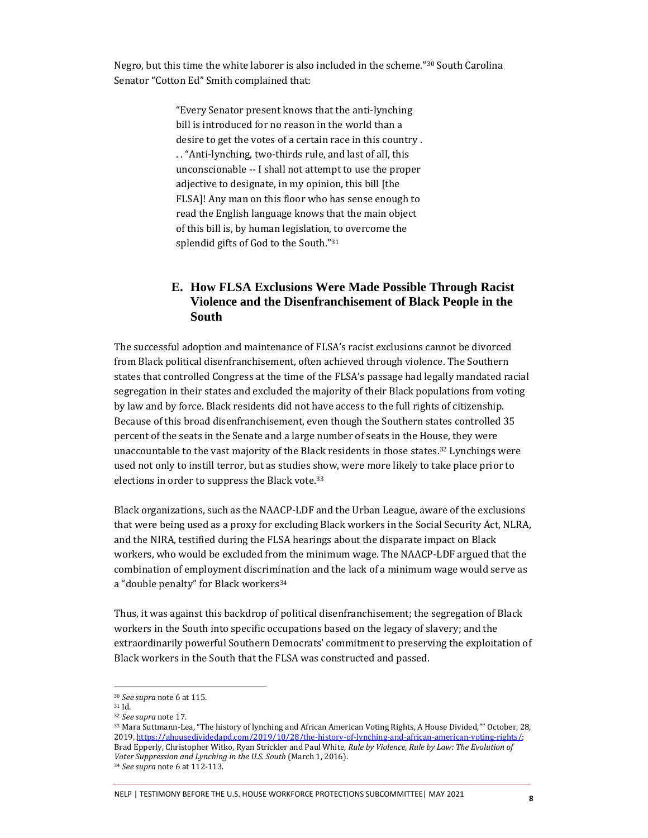Negro, but this time the white laborer is also included in the scheme."<sup>30</sup> South Carolina Senator "Cotton Ed" Smith complained that:

> "Every Senator present knows that the anti-lynching bill is introduced for no reason in the world than a desire to get the votes of a certain race in this country . . . "Anti-lynching, two-thirds rule, and last of all, this unconscionable -- I shall not attempt to use the proper adjective to designate, in my opinion, this bill [the FLSA]! Any man on this floor who has sense enough to read the English language knows that the main object of this bill is, by human legislation, to overcome the splendid gifts of God to the South."<sup>31</sup>

## **E. How FLSA Exclusions Were Made Possible Through Racist Violence and the Disenfranchisement of Black People in the South**

The successful adoption and maintenance of FLSA's racist exclusions cannot be divorced from Black political disenfranchisement, often achieved through violence. The Southern states that controlled Congress at the time of the FLSA's passage had legally mandated racial segregation in their states and excluded the majority of their Black populations from voting by law and by force. Black residents did not have access to the full rights of citizenship. Because of this broad disenfranchisement, even though the Southern states controlled 35 percent of the seats in the Senate and a large number of seats in the House, they were unaccountable to the vast majority of the Black residents in those states. $32$  Lynchings were used not only to instill terror, but as studies show, were more likely to take place prior to elections in order to suppress the Black vote.<sup>33</sup>

Black organizations, such as the NAACP-LDF and the Urban League, aware of the exclusions that were being used as a proxy for excluding Black workers in the Social Security Act, NLRA, and the NIRA, testified during the FLSA hearings about the disparate impact on Black workers, who would be excluded from the minimum wage. The NAACP-LDF argued that the combination of employment discrimination and the lack of a minimum wage would serve as a "double penalty" for Black workers<sup>34</sup>

Thus, it was against this backdrop of political disenfranchisement; the segregation of Black workers in the South into specific occupations based on the legacy of slavery; and the extraordinarily powerful Southern Democrats' commitment to preserving the exploitation of Black workers in the South that the FLSA was constructed and passed.

<sup>30</sup> *See supra* note 6 at 115.

<sup>31</sup> Id.

<sup>32</sup> *See supra* note 17.

<sup>33</sup> Mara Suttmann-Lea, "The history of lynching and African American Voting Rights, A House Divided,"" October, 28, 2019, [https://ahousedividedapd.com/2019/10/28/the-history-of-lynching-and-african-american-voting-rights/;](https://ahousedividedapd.com/2019/10/28/the-history-of-lynching-and-african-american-voting-rights/)  Brad Epperly, Christopher Witko, Ryan Strickler and Paul White, *Rule by Violence, Rule by Law: The Evolution of Voter Suppression and Lynching in the U.S. South* (March 1, 2016).

<sup>34</sup> *See supra* note 6 at 112-113.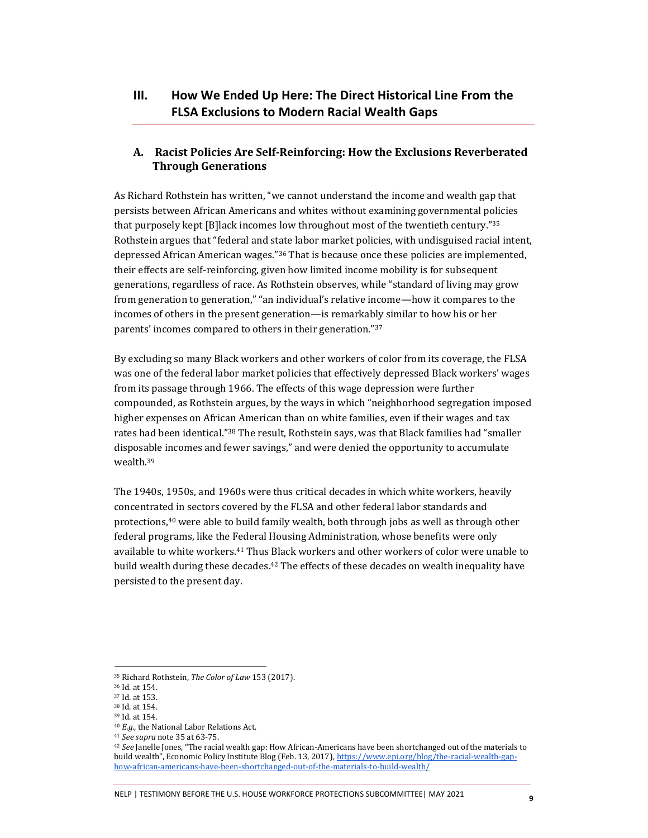## **III. How We Ended Up Here: The Direct Historical Line From the FLSA Exclusions to Modern Racial Wealth Gaps**

#### **A. Racist Policies Are Self-Reinforcing: How the Exclusions Reverberated Through Generations**

As Richard Rothstein has written, "we cannot understand the income and wealth gap that persists between African Americans and whites without examining governmental policies that purposely kept [B]lack incomes low throughout most of the twentieth century."<sup>35</sup> Rothstein argues that "federal and state labor market policies, with undisguised racial intent, depressed African American wages."<sup>36</sup> That is because once these policies are implemented, their effects are self-reinforcing, given how limited income mobility is for subsequent generations, regardless of race. As Rothstein observes, while "standard of living may grow from generation to generation," "an individual's relative income—how it compares to the incomes of others in the present generation—is remarkably similar to how his or her parents' incomes compared to others in their generation."<sup>37</sup>

By excluding so many Black workers and other workers of color from its coverage, the FLSA was one of the federal labor market policies that effectively depressed Black workers' wages from its passage through 1966. The effects of this wage depression were further compounded, as Rothstein argues, by the ways in which "neighborhood segregation imposed higher expenses on African American than on white families, even if their wages and tax rates had been identical."<sup>38</sup> The result, Rothstein says, was that Black families had "smaller disposable incomes and fewer savings," and were denied the opportunity to accumulate wealth.<sup>39</sup>

The 1940s, 1950s, and 1960s were thus critical decades in which white workers, heavily concentrated in sectors covered by the FLSA and other federal labor standards and protections,<sup>40</sup> were able to build family wealth, both through jobs as well as through other federal programs, like the Federal Housing Administration, whose benefits were only available to white workers. <sup>41</sup> Thus Black workers and other workers of color were unable to build wealth during these decades.<sup>42</sup> The effects of these decades on wealth inequality have persisted to the present day.

<sup>35</sup> Richard Rothstein, *The Color of Law* 153 (2017).

<sup>36</sup> Id. at 154.

<sup>37</sup> Id. at 153.

<sup>38</sup> Id. at 154. <sup>39</sup> Id. at 154.

<sup>40</sup> *E.g.*, the National Labor Relations Act.

<sup>41</sup> *See supra* note 35 at 63-75.

<sup>42</sup> *See* Janelle Jones, "The racial wealth gap: How African-Americans have been shortchanged out of the materials to build wealth", Economic Policy Institute Blog (Feb. 13, 2017)[, https://www.epi.org/blog/the-racial-wealth-gap](https://www.epi.org/blog/the-racial-wealth-gap-how-african-americans-have-been-shortchanged-out-of-the-materials-to-build-wealth/)[how-african-americans-have-been-shortchanged-out-of-the-materials-to-build-wealth/](https://www.epi.org/blog/the-racial-wealth-gap-how-african-americans-have-been-shortchanged-out-of-the-materials-to-build-wealth/)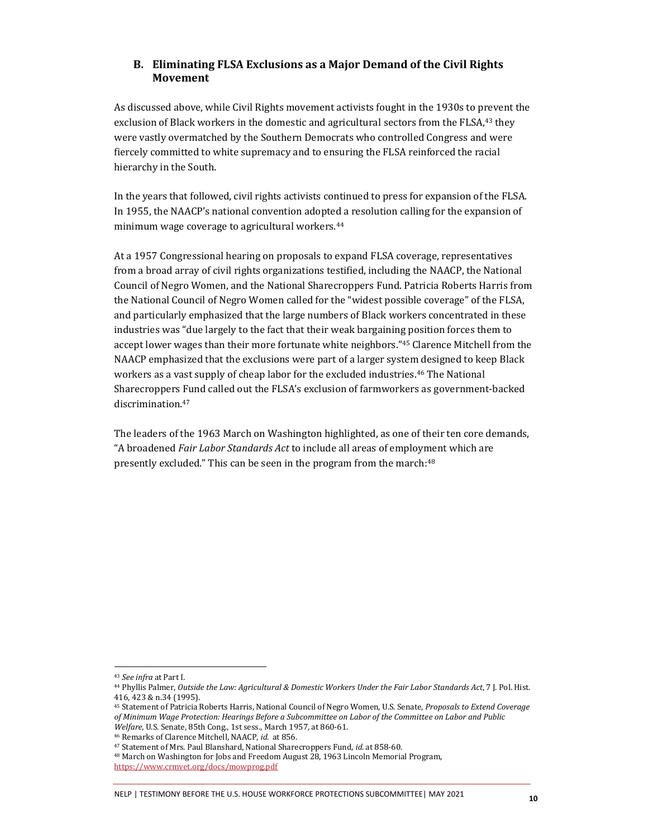#### **B. Eliminating FLSA Exclusions as a Major Demand of the Civil Rights Movement**

As discussed above, while Civil Rights movement activists fought in the 1930s to prevent the exclusion of Black workers in the domestic and agricultural sectors from the FLSA,<sup>43</sup> they were vastly overmatched by the Southern Democrats who controlled Congress and were fiercely committed to white supremacy and to ensuring the FLSA reinforced the racial hierarchy in the South.

In the years that followed, civil rights activists continued to press for expansion of the FLSA. In 1955, the NAACP's national convention adopted a resolution calling for the expansion of minimum wage coverage to agricultural workers.<sup>44</sup>

At a 1957 Congressional hearing on proposals to expand FLSA coverage, representatives from a broad array of civil rights organizations testified, including the NAACP, the National Council of Negro Women, and the National Sharecroppers Fund. Patricia Roberts Harris from the National Council of Negro Women called for the "widest possible coverage" of the FLSA, and particularly emphasized that the large numbers of Black workers concentrated in these industries was "due largely to the fact that their weak bargaining position forces them to accept lower wages than their more fortunate white neighbors."<sup>45</sup> Clarence Mitchell from the NAACP emphasized that the exclusions were part of a larger system designed to keep Black workers as a vast supply of cheap labor for the excluded industries.<sup>46</sup> The National Sharecroppers Fund called out the FLSA's exclusion of farmworkers as government-backed discrimination.<sup>47</sup>

The leaders of the 1963 March on Washington highlighted, as one of their ten core demands, "A broadened *Fair Labor Standards Act* to include all areas of employment which are presently excluded." This can be seen in the program from the march:<sup>48</sup>

<sup>43</sup> *See infra* at Part I.

<sup>44</sup> Phyllis Palmer, *Outside the Law: Agricultural & Domestic Workers Under the Fair Labor Standards Act*, 7 J. Pol. Hist. 416, 423 & n.34 (1995).

<sup>45</sup> Statement of Patricia Roberts Harris, National Council of Negro Women, U.S. Senate, *Proposals to Extend Coverage of Minimum Wage Protection: Hearings Before a Subcommittee on Labor of the Committee on Labor and Public Welfare*, U.S. Senate, 85th Cong., 1st sess., March 1957, at 860-61.

<sup>46</sup> Remarks of Clarence Mitchell, NAACP, *id.* at 856.

<sup>47</sup> Statement of Mrs. Paul Blanshard, National Sharecroppers Fund, *id.* at 858-60.

<sup>48</sup> March on Washington for Jobs and Freedom August 28, 1963 Lincoln Memorial Program,

<https://www.crmvet.org/docs/mowprog.pdf>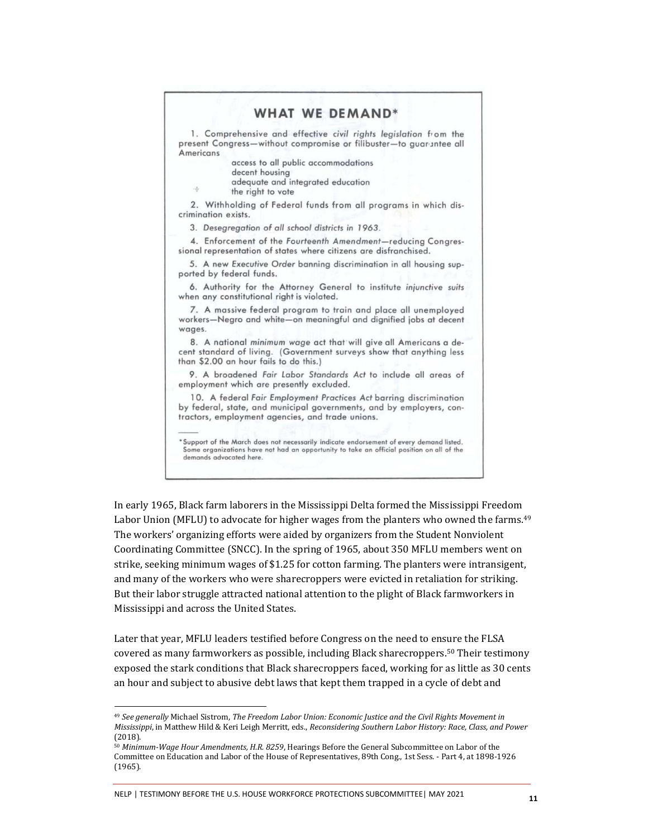#### **WHAT WE DEMAND\***

1. Comprehensive and effective civil rights legislation from the present Congress-without compromise or filibuster-to guarantee all Americans

access to all public accommodations

- decent housing
- adequate and integrated education
- the right to vote

佞

2. Withholding of Federal funds from all programs in which discrimination exists.

3. Desegregation of all school districts in 1963.

4. Enforcement of the Fourteenth Amendment-reducing Congressional representation of states where citizens are disfranchised.

5. A new Executive Order banning discrimination in all housing supported by federal funds.

6. Authority for the Attorney General to institute injunctive suits when any constitutional right is violated.

7. A massive federal program to train and place all unemployed workers-Negro and white-on meaningful and dignified jobs at decent wages.

8. A national minimum wage act that will give all Americans a decent standard of living. (Government surveys show that anything less than \$2.00 an hour fails to do this.)

9. A broadened Fair Labor Standards Act to include all areas of employment which are presently excluded.

10. A federal Fair Employment Practices Act barring discrimination by federal, state, and municipal governments, and by employers, contractors, employment agencies, and trade unions.

Support of the March does not necessarily indicate endorsement of every demand listed. Some organizations have not had an opportunity to take an official position on all of the demands advocated here.

In early 1965, Black farm laborers in the Mississippi Delta formed the Mississippi Freedom Labor Union (MFLU) to advocate for higher wages from the planters who owned the farms.<sup>49</sup> The workers' organizing efforts were aided by organizers from the Student Nonviolent Coordinating Committee (SNCC). In the spring of 1965, about 350 MFLU members went on strike, seeking minimum wages of \$1.25 for cotton farming. The planters were intransigent, and many of the workers who were sharecroppers were evicted in retaliation for striking. But their labor struggle attracted national attention to the plight of Black farmworkers in Mississippi and across the United States.

Later that year, MFLU leaders testified before Congress on the need to ensure the FLSA covered as many farmworkers as possible, including Black sharecroppers.<sup>50</sup> Their testimony exposed the stark conditions that Black sharecroppers faced, working for as little as 30 cents an hour and subject to abusive debt laws that kept them trapped in a cycle of debt and

NELP | TESTIMONY BEFORE THE U.S. HOUSE WORKFORCE PROTECTIONS SUBCOMMITTEE| MAY 2021 **<sup>11</sup>**

<sup>49</sup> *See generally* Michael Sistrom, *The Freedom Labor Union: Economic Justice and the Civil Rights Movement in Mississippi*, in Matthew Hild & Keri Leigh Merritt, eds., *Reconsidering Southern Labor History: Race, Class, and Power* (2018).

<sup>50</sup> *Minimum-Wage Hour Amendments, H.R. 8259*, Hearings Before the General Subcommittee on Labor of the Committee on Education and Labor of the House of Representatives, 89th Cong., 1st Sess. - Part 4, at 1898-1926 (1965).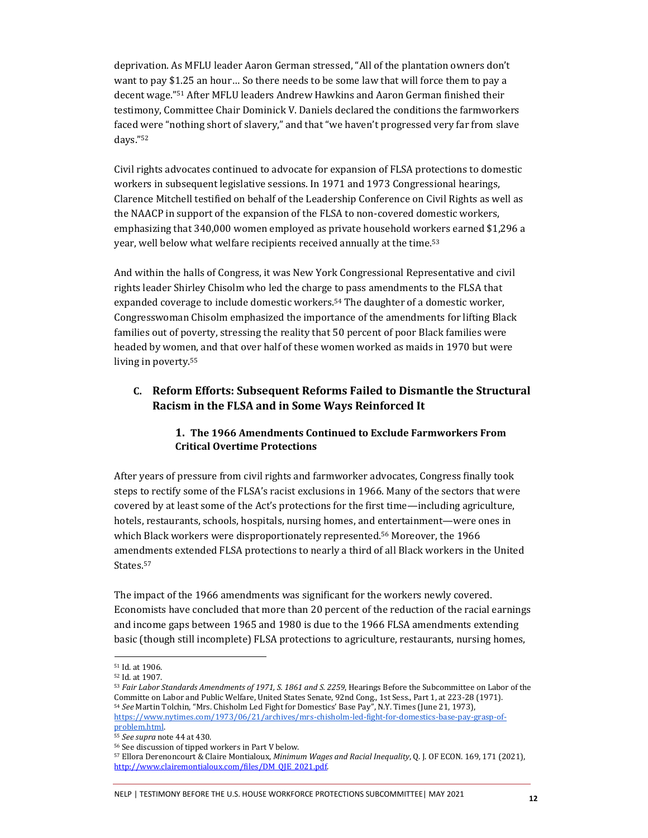deprivation. As MFLU leader Aaron German stressed, "All of the plantation owners don't want to pay \$1.25 an hour… So there needs to be some law that will force them to pay a decent wage."<sup>51</sup> After MFLU leaders Andrew Hawkins and Aaron German finished their testimony, Committee Chair Dominick V. Daniels declared the conditions the farmworkers faced were "nothing short of slavery," and that "we haven't progressed very far from slave days."<sup>52</sup>

Civil rights advocates continued to advocate for expansion of FLSA protections to domestic workers in subsequent legislative sessions. In 1971 and 1973 Congressional hearings, Clarence Mitchell testified on behalf of the Leadership Conference on Civil Rights as well as the NAACP in support of the expansion of the FLSA to non-covered domestic workers, emphasizing that 340,000 women employed as private household workers earned \$1,296 a year, well below what welfare recipients received annually at the time.<sup>53</sup>

And within the halls of Congress, it was New York Congressional Representative and civil rights leader Shirley Chisolm who led the charge to pass amendments to the FLSA that expanded coverage to include domestic workers.<sup>54</sup> The daughter of a domestic worker, Congresswoman Chisolm emphasized the importance of the amendments for lifting Black families out of poverty, stressing the reality that 50 percent of poor Black families were headed by women, and that over half of these women worked as maids in 1970 but were living in poverty.<sup>55</sup>

#### **C. Reform Efforts: Subsequent Reforms Failed to Dismantle the Structural Racism in the FLSA and in Some Ways Reinforced It**

#### **1. The 1966 Amendments Continued to Exclude Farmworkers From Critical Overtime Protections**

After years of pressure from civil rights and farmworker advocates, Congress finally took steps to rectify some of the FLSA's racist exclusions in 1966. Many of the sectors that were covered by at least some of the Act's protections for the first time—including agriculture, hotels, restaurants, schools, hospitals, nursing homes, and entertainment—were ones in which Black workers were disproportionately represented.<sup>56</sup> Moreover, the 1966 amendments extended FLSA protections to nearly a third of all Black workers in the United States.<sup>57</sup>

The impact of the 1966 amendments was significant for the workers newly covered. Economists have concluded that more than 20 percent of the reduction of the racial earnings and income gaps between 1965 and 1980 is due to the 1966 FLSA amendments extending basic (though still incomplete) FLSA protections to agriculture, restaurants, nursing homes,

#### NELP | TESTIMONY BEFORE THE U.S. HOUSE WORKFORCE PROTECTIONS SUBCOMMITTEE| MAY 2021 **<sup>12</sup>**

<sup>51</sup> Id. at 1906.

<sup>52</sup> Id. at 1907.

<sup>53</sup> *Fair Labor Standards Amendments of 1971, S. 1861 and S. 2259*, Hearings Before the Subcommittee on Labor of the Committe on Labor and Public Welfare, United States Senate, 92nd Cong., 1st Sess., Part 1, at 223-28 (1971). <sup>54</sup> *See* Martin Tolchin, "Mrs. Chisholm Led Fight for Domestics' Base Pay", N.Y. Times (June 21, 1973), [https://www.nytimes.com/1973/06/21/archives/mrs-chisholm-led-fight-for-domestics-base-pay-grasp-of](https://www.nytimes.com/1973/06/21/archives/mrs-chisholm-led-fight-for-domestics-base-pay-grasp-of-problem.html)[problem.html.](https://www.nytimes.com/1973/06/21/archives/mrs-chisholm-led-fight-for-domestics-base-pay-grasp-of-problem.html) 

<sup>55</sup> *See supra* note 44 at 430.

<sup>56</sup> See discussion of tipped workers in Part V below.

<sup>57</sup> Ellora Derenoncourt & Claire Montialoux, *Minimum Wages and Racial Inequality*, Q. J. OF ECON. 169, 171 (2021), http://www.clairemontialoux.com/files/DM\_OIE\_2021.pdf.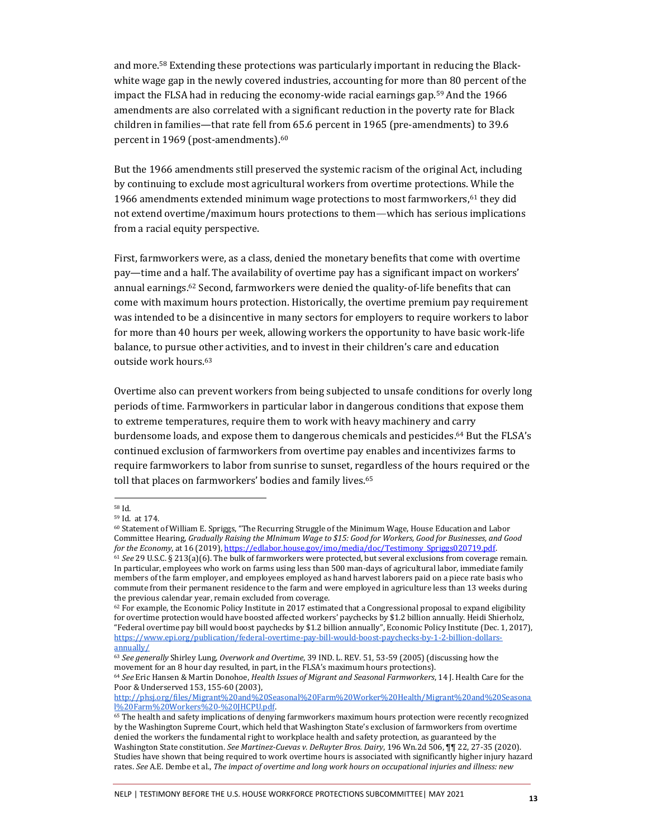and more.<sup>58</sup> Extending these protections was particularly important in reducing the Blackwhite wage gap in the newly covered industries, accounting for more than 80 percent of the impact the FLSA had in reducing the economy-wide racial earnings gap.<sup>59</sup> And the 1966 amendments are also correlated with a significant reduction in the poverty rate for Black children in families—that rate fell from 65.6 percent in 1965 (pre-amendments) to 39.6 percent in 1969 (post-amendments).<sup>60</sup>

But the 1966 amendments still preserved the systemic racism of the original Act, including by continuing to exclude most agricultural workers from overtime protections. While the 1966 amendments extended minimum wage protections to most farmworkers,<sup>61</sup> they did not extend overtime/maximum hours protections to them—which has serious implications from a racial equity perspective.

First, farmworkers were, as a class, denied the monetary benefits that come with overtime pay—time and a half. The availability of overtime pay has a significant impact on workers' annual earnings.<sup>62</sup> Second, farmworkers were denied the quality-of-life benefits that can come with maximum hours protection. Historically, the overtime premium pay requirement was intended to be a disincentive in many sectors for employers to require workers to labor for more than 40 hours per week, allowing workers the opportunity to have basic work-life balance, to pursue other activities, and to invest in their children's care and education outside work hours.<sup>63</sup>

Overtime also can prevent workers from being subjected to unsafe conditions for overly long periods of time. Farmworkers in particular labor in dangerous conditions that expose them to extreme temperatures, require them to work with heavy machinery and carry burdensome loads, and expose them to dangerous chemicals and pesticides. <sup>64</sup> But the FLSA's continued exclusion of farmworkers from overtime pay enables and incentivizes farms to require farmworkers to labor from sunrise to sunset, regardless of the hours required or the toll that places on farmworkers' bodies and family lives.<sup>65</sup>

<sup>64</sup> *See* Eric Hansen & Martin Donohoe, *Health Issues of Migrant and Seasonal Farmworkers*, 14 J. Health Care for the Poor & Underserved 153, 155-60 (2003),

<sup>58</sup> Id.

<sup>59</sup> Id. at 174.

<sup>60</sup> Statement of William E. Spriggs, "The Recurring Struggle of the Minimum Wage, House Education and Labor Committee Hearing, *Gradually Raising the MInimum Wage to \$15: Good for Workers, Good for Businesses, and Good for the Economy*, at 16 (2019)[, https://edlabor.house.gov/imo/media/doc/Testimony\\_Spriggs020719.pdf.](https://edlabor.house.gov/imo/media/doc/Testimony_Spriggs020719.pdf)

<sup>61</sup> *See* 29 U.S.C. § 213(a)(6). The bulk of farmworkers were protected, but several exclusions from coverage remain. In particular, employees who work on farms using less than 500 man-days of agricultural labor, immediate family members of the farm employer, and employees employed as hand harvest laborers paid on a piece rate basis who commute from their permanent residence to the farm and were employed in agriculture less than 13 weeks during the previous calendar year, remain excluded from coverage.

 $62$  For example, the Economic Policy Institute in 2017 estimated that a Congressional proposal to expand eligibility for overtime protection would have boosted affected workers' paychecks by \$1.2 billion annually. Heidi Shierholz, "Federal overtime pay bill would boost paychecks by \$1.2 billion annually", Economic Policy Institute (Dec. 1, 2017), [https://www.epi.org/publication/federal-overtime-pay-bill-would-boost-paychecks-by-1-2-billion-dollars](https://www.epi.org/publication/federal-overtime-pay-bill-would-boost-paychecks-by-1-2-billion-dollars-annually/)[annually/](https://www.epi.org/publication/federal-overtime-pay-bill-would-boost-paychecks-by-1-2-billion-dollars-annually/)

<sup>63</sup> *See generally* Shirley Lung, *Overwork and Overtime*, 39 IND. L. REV. 51, 53-59 (2005) (discussing how the movement for an 8 hour day resulted, in part, in the FLSA's maximum hours protections).

[http://phsj.org/files/Migrant%20and%20Seasonal%20Farm%20Worker%20Health/Migrant%20and%20Seasona](http://phsj.org/files/Migrant%20and%20Seasonal%20Farm%20Worker%20Health/Migrant%20and%20Seasonal%20Farm%20Workers%20-%20JHCPU.pdf) [l%20Farm%20Workers%20-%20JHCPU.pdf.](http://phsj.org/files/Migrant%20and%20Seasonal%20Farm%20Worker%20Health/Migrant%20and%20Seasonal%20Farm%20Workers%20-%20JHCPU.pdf) 

<sup>65</sup> The health and safety implications of denying farmworkers maximum hours protection were recently recognized by the Washington Supreme Court, which held that Washington State's exclusion of farmworkers from overtime denied the workers the fundamental right to workplace health and safety protection, as guaranteed by the Washington State constitution. *See Martinez-Cuevas v. DeRuyter Bros. Dairy*, 196 Wn.2d 506, ¶¶ 22, 27-35 (2020). Studies have shown that being required to work overtime hours is associated with significantly higher injury hazard rates. *See* A.E. Dembe et al., *The impact of overtime and long work hours on occupational injuries and illness: new*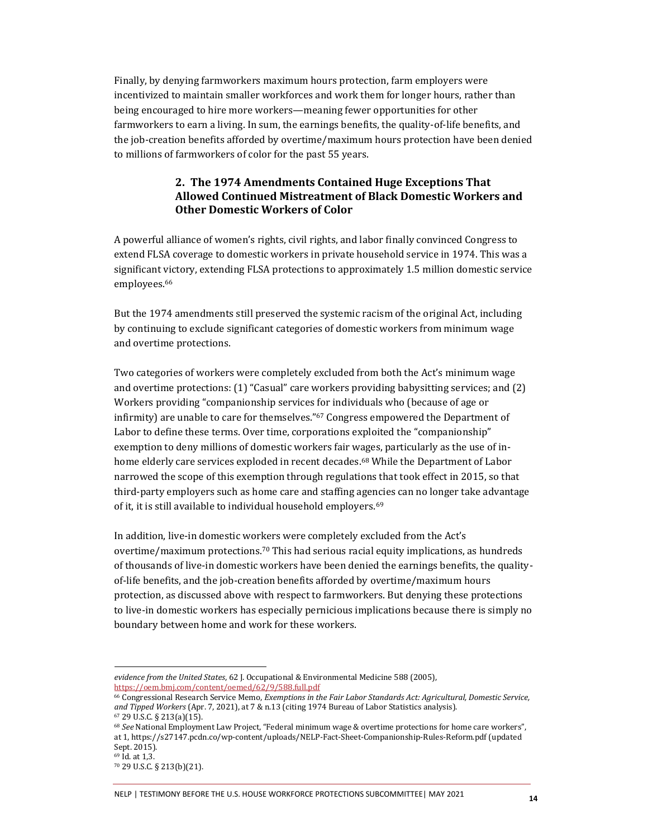Finally, by denying farmworkers maximum hours protection, farm employers were incentivized to maintain smaller workforces and work them for longer hours, rather than being encouraged to hire more workers—meaning fewer opportunities for other farmworkers to earn a living. In sum, the earnings benefits, the quality-of-life benefits, and the job-creation benefits afforded by overtime/maximum hours protection have been denied to millions of farmworkers of color for the past 55 years.

#### **2. The 1974 Amendments Contained Huge Exceptions That Allowed Continued Mistreatment of Black Domestic Workers and Other Domestic Workers of Color**

A powerful alliance of women's rights, civil rights, and labor finally convinced Congress to extend FLSA coverage to domestic workers in private household service in 1974. This was a significant victory, extending FLSA protections to approximately 1.5 million domestic service employees.<sup>66</sup>

But the 1974 amendments still preserved the systemic racism of the original Act, including by continuing to exclude significant categories of domestic workers from minimum wage and overtime protections.

Two categories of workers were completely excluded from both the Act's minimum wage and overtime protections: (1) "Casual" care workers providing babysitting services; and (2) Workers providing "companionship services for individuals who (because of age or infirmity) are unable to care for themselves." <sup>67</sup> Congress empowered the Department of Labor to define these terms. Over time, corporations exploited the "companionship" exemption to deny millions of domestic workers fair wages, particularly as the use of inhome elderly care services exploded in recent decades.<sup>68</sup> While the Department of Labor narrowed the scope of this exemption through regulations that took effect in 2015, so that third-party employers such as home care and staffing agencies can no longer take advantage of it, it is still available to individual household employers.<sup>69</sup>

In addition, live-in domestic workers were completely excluded from the Act's overtime/maximum protections.<sup>70</sup> This had serious racial equity implications, as hundreds of thousands of live-in domestic workers have been denied the earnings benefits, the qualityof-life benefits, and the job-creation benefits afforded by overtime/maximum hours protection, as discussed above with respect to farmworkers. But denying these protections to live-in domestic workers has especially pernicious implications because there is simply no boundary between home and work for these workers.

NELP | TESTIMONY BEFORE THE U.S. HOUSE WORKFORCE PROTECTIONS SUBCOMMITTEE| MAY 2021 **<sup>14</sup>**

*evidence from the United States*, 62 J. Occupational & Environmental Medicine 588 (2005), <https://oem.bmj.com/content/oemed/62/9/588.full.pdf>

<sup>66</sup> Congressional Research Service Memo, *Exemptions in the Fair Labor Standards Act: Agricultural, Domestic Service, and Tipped Workers* (Apr. 7, 2021), at 7 & n.13 (citing 1974 Bureau of Labor Statistics analysis). <sup>67</sup> 29 U.S.C. § 213(a)(15).

<sup>68</sup> *See* National Employment Law Project, "Federal minimum wage & overtime protections for home care workers", at 1, https://s27147.pcdn.co/wp-content/uploads/NELP-Fact-Sheet-Companionship-Rules-Reform.pdf (updated Sept. 2015).

<sup>69</sup> Id. at 1,3.

<sup>70</sup> 29 U.S.C. § 213(b)(21).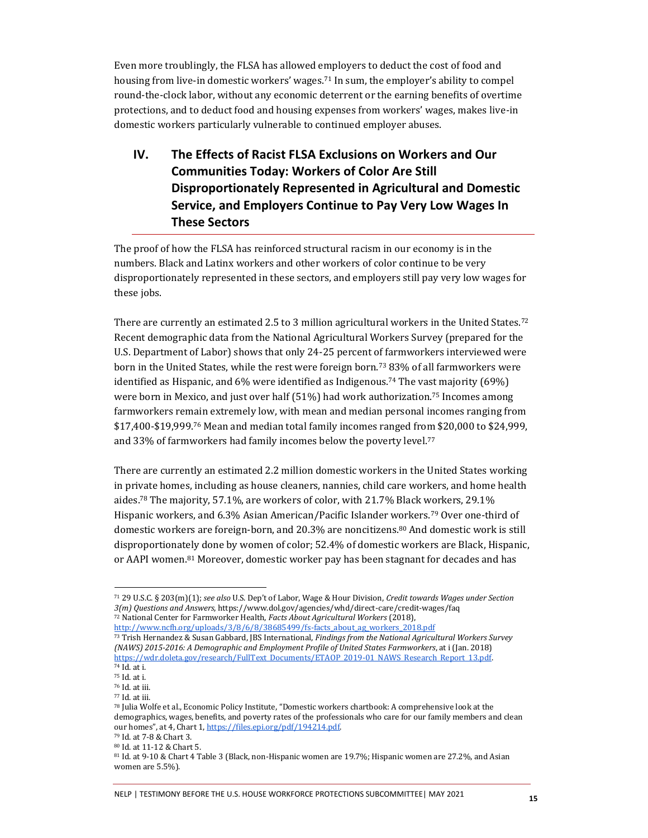Even more troublingly, the FLSA has allowed employers to deduct the cost of food and housing from live-in domestic workers' wages.<sup>71</sup> In sum, the employer's ability to compel round-the-clock labor, without any economic deterrent or the earning benefits of overtime protections, and to deduct food and housing expenses from workers' wages, makes live-in domestic workers particularly vulnerable to continued employer abuses.

**IV. The Effects of Racist FLSA Exclusions on Workers and Our Communities Today: Workers of Color Are Still Disproportionately Represented in Agricultural and Domestic Service, and Employers Continue to Pay Very Low Wages In These Sectors**

The proof of how the FLSA has reinforced structural racism in our economy is in the numbers. Black and Latinx workers and other workers of color continue to be very disproportionately represented in these sectors, and employers still pay very low wages for these jobs.

There are currently an estimated 2.5 to 3 million agricultural workers in the United States.<sup>72</sup> Recent demographic data from the National Agricultural Workers Survey (prepared for the U.S. Department of Labor) shows that only 24-25 percent of farmworkers interviewed were born in the United States, while the rest were foreign born.<sup>73</sup> 83% of all farmworkers were identified as Hispanic, and  $6\%$  were identified as Indigenous.<sup>74</sup> The vast majority ( $69\%$ ) were born in Mexico, and just over half  $(51%)$  had work authorization.<sup>75</sup> Incomes among farmworkers remain extremely low, with mean and median personal incomes ranging from  $$17,400-\$19,999.76$  Mean and median total family incomes ranged from \$20,000 to \$24,999, and 33% of farmworkers had family incomes below the poverty level.<sup>77</sup>

There are currently an estimated 2.2 million domestic workers in the United States working in private homes, including as house cleaners, nannies, child care workers, and home health aides.<sup>78</sup> The majority, 57.1%, are workers of color, with 21.7% Black workers, 29.1% Hispanic workers, and 6.3% Asian American/Pacific Islander workers.<sup>79</sup> Over one-third of domestic workers are foreign-born, and 20.3% are noncitizens.<sup>80</sup> And domestic work is still disproportionately done by women of color; 52.4% of domestic workers are Black, Hispanic, or AAPI women.<sup>81</sup> Moreover, domestic worker pay has been stagnant for decades and has

<sup>71</sup> 29 U.S.C. § 203(m)(1); *see also* U.S. Dep't of Labor, Wage & Hour Division, *Credit towards Wages under Section 3(m) Questions and Answers*, https://www.dol.gov/agencies/whd/direct-care/credit-wages/faq <sup>72</sup> National Center for Farmworker Health, *Facts About Agricultural Workers* (2018),

[http://www.ncfh.org/uploads/3/8/6/8/38685499/fs-facts\\_about\\_ag\\_workers\\_2018.pdf](http://www.ncfh.org/uploads/3/8/6/8/38685499/fs-facts_about_ag_workers_2018.pdf)

<sup>73</sup> Trish Hernandez & Susan Gabbard, JBS International, *Findings from the National Agricultural Workers Survey (NAWS) 2015-2016: A Demographic and Employment Profile of United States Farmworkers*, at i (Jan. 2018) [https://wdr.doleta.gov/research/FullText\\_Documents/ETAOP\\_2019-01\\_NAWS\\_Research\\_Report\\_13.pdf.](https://wdr.doleta.gov/research/FullText_Documents/ETAOP_2019-01_NAWS_Research_Report_13.pdf)

<sup>74</sup> Id. at i. <sup>75</sup> Id. at i.

<sup>76</sup> Id. at iii.

<sup>77</sup> Id. at iii.

<sup>78</sup> Julia Wolfe et al., Economic Policy Institute, "Domestic workers chartbook: A comprehensive look at the demographics, wages, benefits, and poverty rates of the professionals who care for our family members and clean our homes", at 4, Chart 1[, https://files.epi.org/pdf/194214.pdf.](https://files.epi.org/pdf/194214.pdf)

<sup>79</sup> Id. at 7-8 & Chart 3.

<sup>80</sup> Id. at 11-12 & Chart 5.

<sup>81</sup> Id. at 9-10 & Chart 4 Table 3 (Black, non-Hispanic women are 19.7%; Hispanic women are 27.2%, and Asian women are 5.5%).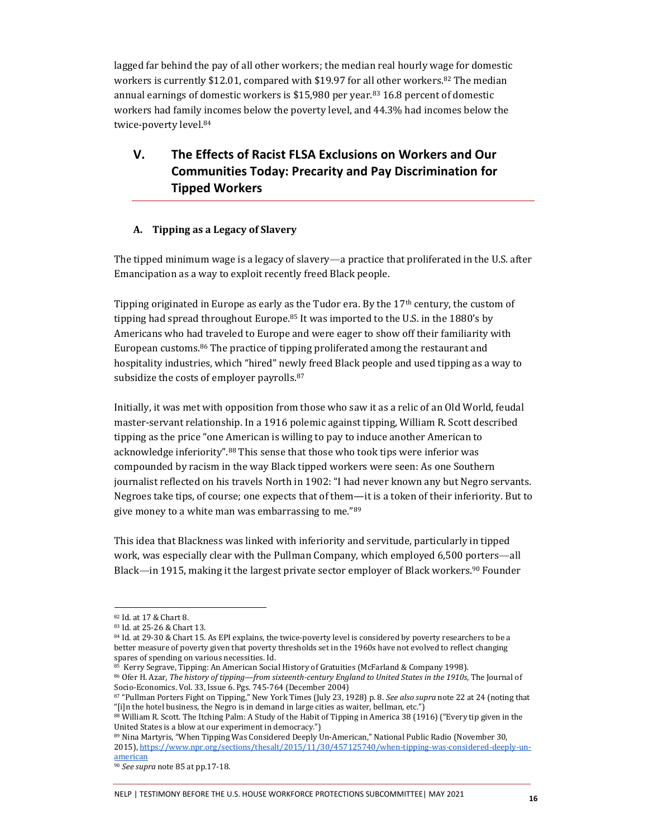lagged far behind the pay of all other workers; the median real hourly wage for domestic workers is currently \$12.01, compared with \$19.97 for all other workers.<sup>82</sup> The median annual earnings of domestic workers is  $$15,980$  per year.<sup>83</sup> 16.8 percent of domestic workers had family incomes below the poverty level, and 44.3% had incomes below the twice-poverty level.<sup>84</sup>

## **V. The Effects of Racist FLSA Exclusions on Workers and Our Communities Today: Precarity and Pay Discrimination for Tipped Workers**

#### **A. Tipping as a Legacy of Slavery**

The tipped minimum wage is a legacy of slavery—a practice that proliferated in the U.S. after Emancipation as a way to exploit recently freed Black people.

Tipping originated in Europe as early as the Tudor era. By the  $17<sup>th</sup>$  century, the custom of tipping had spread throughout Europe.<sup>85</sup> It was imported to the U.S. in the 1880's by Americans who had traveled to Europe and were eager to show off their familiarity with European customs.<sup>86</sup> The practice of tipping proliferated among the restaurant and hospitality industries, which "hired" newly freed Black people and used tipping as a way to subsidize the costs of employer payrolls.<sup>87</sup>

Initially, it was met with opposition from those who saw it as a relic of an Old World, feudal master-servant relationship. In a 1916 polemic against tipping, William R. Scott described tipping as the price "one American is willing to pay to induce another American to acknowledge inferiority".<sup>88</sup> This sense that those who took tips were inferior was compounded by racism in the way Black tipped workers were seen: As one Southern journalist reflected on his travels North in 1902: "I had never known any but Negro servants. Negroes take tips, of course; one expects that of them—it is a token of their inferiority. But to give money to a white man was embarrassing to me."89

This idea that Blackness was linked with inferiority and servitude, particularly in tipped work, was especially clear with the Pullman Company, which employed 6,500 porters—all Black—in 1915, making it the largest private sector employer of Black workers.<sup>90</sup> Founder

89 Nina Martyris, "When Tipping Was Considered Deeply Un-American," National Public Radio (November 30, 2015), [https://www.npr.org/sections/thesalt/2015/11/30/457125740/when-tipping-was-considered-deeply-un](https://www.npr.org/sections/thesalt/2015/11/30/457125740/when-tipping-was-considered-deeply-un-american)[american](https://www.npr.org/sections/thesalt/2015/11/30/457125740/when-tipping-was-considered-deeply-un-american)

<sup>82</sup> Id. at 17 & Chart 8.

<sup>83</sup> Id. at 25-26 & Chart 13.

<sup>84</sup> Id. at 29-30 & Chart 15. As EPI explains, the twice-poverty level is considered by poverty researchers to be a better measure of poverty given that poverty thresholds set in the 1960s have not evolved to reflect changing spares of spending on various necessities. Id.

<sup>85</sup> Kerry Segrave, Tipping: An American Social History of Gratuities (McFarland & Company 1998).

<sup>86</sup> Ofer H. Azar, *The history of tipping—from sixteenth-century England to United States in the 1910s*, The Journal of Socio-Economics. Vol. 33, Issue 6. Pgs. 745-764 (December 2004)

<sup>87</sup> "Pullman Porters Fight on Tipping," New York Times (July 23, 1928) p. 8. *See also supra* note 22 at 24 (noting that "[i]n the hotel business, the Negro is in demand in large cities as waiter, bellman, etc.")

<sup>88</sup> William R. Scott. The Itching Palm: A Study of the Habit of Tipping in America 38 (1916) ("Every tip given in the United States is a blow at our experiment in democracy.")

<sup>90</sup> *See supra* note 85 at pp.17-18.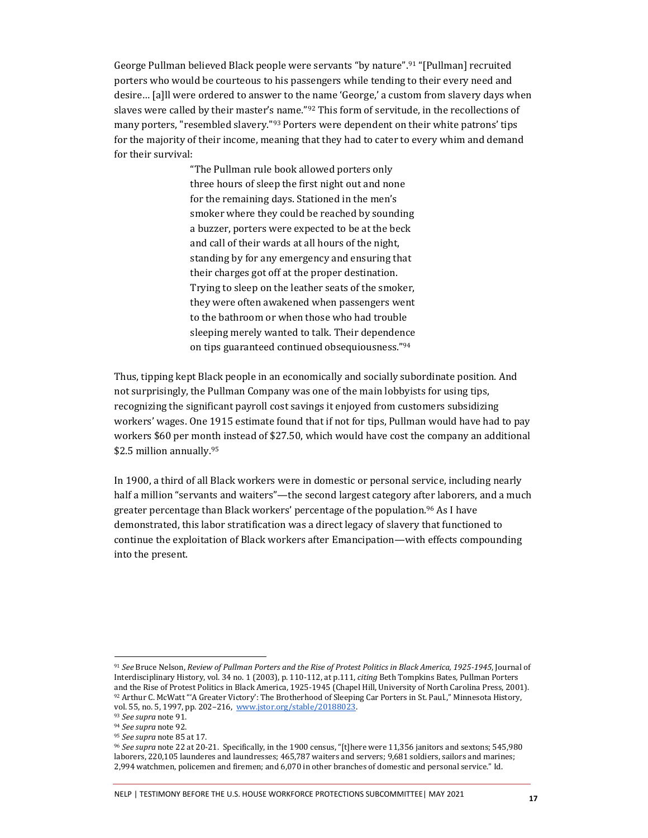George Pullman believed Black people were servants "by nature".<sup>91</sup> "[Pullman] recruited porters who would be courteous to his passengers while tending to their every need and desire… [a]ll were ordered to answer to the name 'George,' a custom from slavery days when slaves were called by their master's name."<sup>92</sup> This form of servitude, in the recollections of many porters, "resembled slavery."<sup>93</sup> Porters were dependent on their white patrons' tips for the majority of their income, meaning that they had to cater to every whim and demand for their survival:

> "The Pullman rule book allowed porters only three hours of sleep the first night out and none for the remaining days. Stationed in the men's smoker where they could be reached by sounding a buzzer, porters were expected to be at the beck and call of their wards at all hours of the night, standing by for any emergency and ensuring that their charges got off at the proper destination. Trying to sleep on the leather seats of the smoker, they were often awakened when passengers went to the bathroom or when those who had trouble sleeping merely wanted to talk. Their dependence on tips guaranteed continued obsequiousness."<sup>94</sup>

Thus, tipping kept Black people in an economically and socially subordinate position. And not surprisingly, the Pullman Company was one of the main lobbyists for using tips, recognizing the significant payroll cost savings it enjoyed from customers subsidizing workers' wages. One 1915 estimate found that if not for tips, Pullman would have had to pay workers \$60 per month instead of \$27.50, which would have cost the company an additional \$2.5 million annually.<sup>95</sup>

In 1900, a third of all Black workers were in domestic or personal service, including nearly half a million "servants and waiters"—the second largest category after laborers, and a much greater percentage than Black workers' percentage of the population.<sup>96</sup> As I have demonstrated, this labor stratification was a direct legacy of slavery that functioned to continue the exploitation of Black workers after Emancipation—with effects compounding into the present.

<sup>91</sup> *See* Bruce Nelson, *Review of Pullman Porters and the Rise of Protest Politics in Black America, 1925-1945*, Journal of Interdisciplinary History, vol. 34 no. 1 (2003), p. 110-112, at p.111, *citing* Beth Tompkins Bates*,* Pullman Porters and the Rise of Protest Politics in Black America, 1925-1945 (Chapel Hill, University of North Carolina Press, 2001). <sup>92</sup> Arthur C. McWatt "'A Greater Victory': The Brotherhood of Sleeping Car Porters in St. Paul.," Minnesota History, vol. 55, no. 5, 1997, pp. 202–216, [www.jstor.org/stable/20188023.](http://www.jstor.org/stable/20188023) 

<sup>93</sup> *See supra* note 91.

<sup>94</sup> *See supra* note 92.

<sup>95</sup> *See supra* note 85 at 17.

<sup>96</sup> *See supra* note 22 at 20-21. Specifically, in the 1900 census, "[t]here were 11,356 janitors and sextons; 545,980 laborers, 220,105 launderes and laundresses; 465,787 waiters and servers; 9,681 soldiers, sailors and marines; 2,994 watchmen, policemen and firemen; and 6,070 in other branches of domestic and personal service." Id.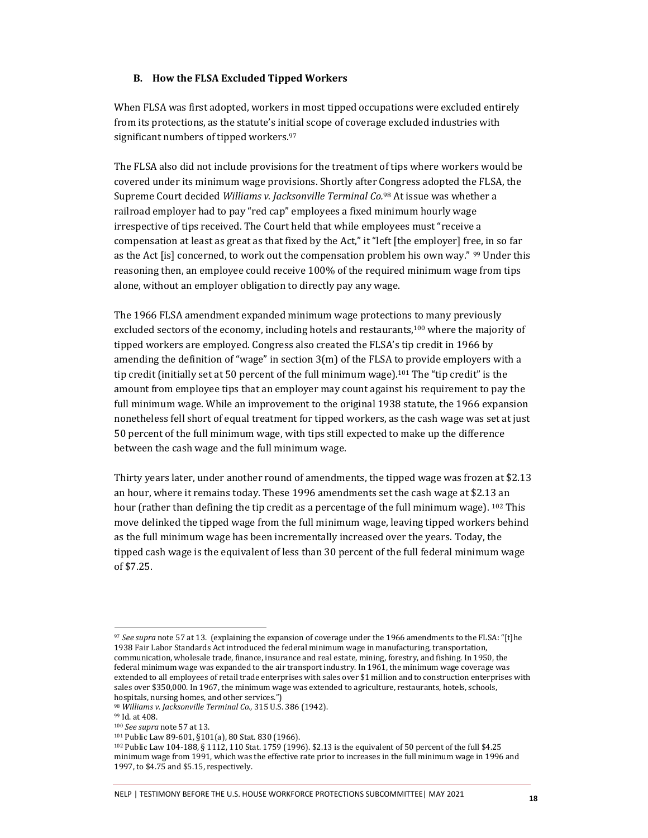#### **B. How the FLSA Excluded Tipped Workers**

When FLSA was first adopted, workers in most tipped occupations were excluded entirely from its protections, as the statute's initial scope of coverage excluded industries with significant numbers of tipped workers.<sup>97</sup>

The FLSA also did not include provisions for the treatment of tips where workers would be covered under its minimum wage provisions. Shortly after Congress adopted the FLSA, the Supreme Court decided *Williams v. Jacksonville Terminal Co.*<sup>98</sup> At issue was whether a railroad employer had to pay "red cap" employees a fixed minimum hourly wage irrespective of tips received. The Court held that while employees must "receive a compensation at least as great as that fixed by the Act," it "left [the employer] free, in so far as the Act [is] concerned, to work out the compensation problem his own way." <sup>99</sup> Under this reasoning then, an employee could receive 100% of the required minimum wage from tips alone, without an employer obligation to directly pay any wage.

The 1966 FLSA amendment expanded minimum wage protections to many previously excluded sectors of the economy, including hotels and restaurants,<sup>100</sup> where the majority of tipped workers are employed. Congress also created the FLSA's tip credit in 1966 by amending the definition of "wage" in section  $3(m)$  of the FLSA to provide employers with a tip credit (initially set at 50 percent of the full minimum wage).<sup>101</sup> The "tip credit" is the amount from employee tips that an employer may count against his requirement to pay the full minimum wage. While an improvement to the original 1938 statute, the 1966 expansion nonetheless fell short of equal treatment for tipped workers, as the cash wage was set at just 50 percent of the full minimum wage, with tips still expected to make up the difference between the cash wage and the full minimum wage.

Thirty years later, under another round of amendments, the tipped wage was frozen at \$2.13 an hour, where it remains today. These 1996 amendments set the cash wage at \$2.13 an hour (rather than defining the tip credit as a percentage of the full minimum wage). <sup>102</sup> This move delinked the tipped wage from the full minimum wage, leaving tipped workers behind as the full minimum wage has been incrementally increased over the years. Today, the tipped cash wage is the equivalent of less than 30 percent of the full federal minimum wage of \$7.25.

<sup>97</sup> *See supra* note 57 at 13. (explaining the expansion of coverage under the 1966 amendments to the FLSA: "[t]he 1938 Fair Labor Standards Act introduced the federal minimum wage in manufacturing, transportation, communication, wholesale trade, finance, insurance and real estate, mining, forestry, and fishing. In 1950, the federal minimum wage was expanded to the air transport industry. In 1961, the minimum wage coverage was extended to all employees of retail trade enterprises with sales over \$1 million and to construction enterprises with sales over \$350,000. In 1967, the minimum wage was extended to agriculture, restaurants, hotels, schools, hospitals, nursing homes, and other services.")

<sup>98</sup> *Williams v. Jacksonville Terminal Co.*, 315 U.S. 386 (1942).

<sup>99</sup> Id. at 408.

<sup>100</sup> *See supra* note 57 at 13.

<sup>101</sup> Public Law 89-601, §101(a), 80 Stat. 830 (1966).

<sup>102</sup> Public Law 104-188, § 1112, 110 Stat. 1759 (1996). \$2.13 is the equivalent of 50 percent of the full \$4.25 minimum wage from 1991, which was the effective rate prior to increases in the full minimum wage in 1996 and 1997, to \$4.75 and \$5.15, respectively.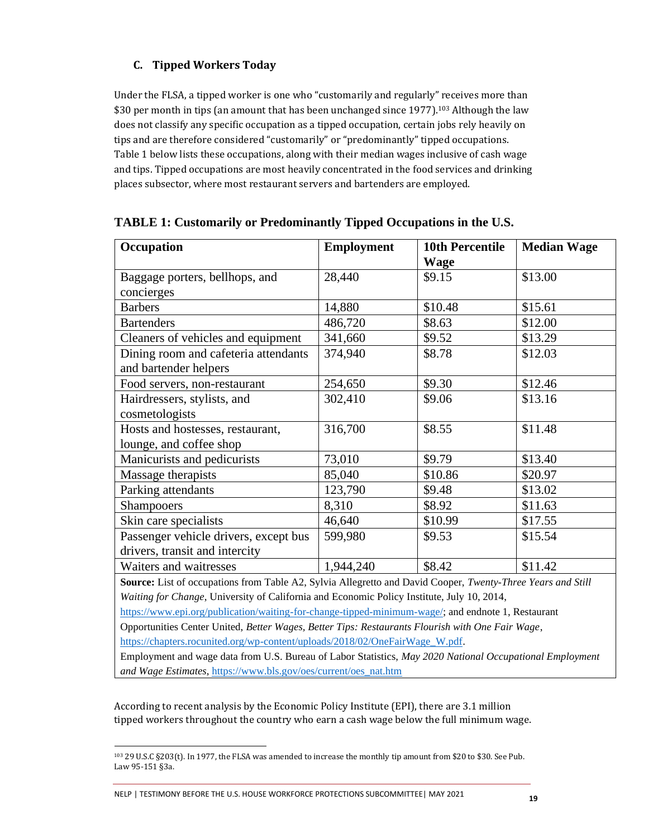## **C. Tipped Workers Today**

Under the FLSA, a tipped worker is one who "customarily and regularly" receives more than \$30 per month in tips (an amount that has been unchanged since 1977).<sup>103</sup> Although the law does not classify any specific occupation as a tipped occupation, certain jobs rely heavily on tips and are therefore considered "customarily" or "predominantly" tipped occupations. Table 1 below lists these occupations, along with their median wages inclusive of cash wage and tips. Tipped occupations are most heavily concentrated in the food services and drinking places subsector, where most restaurant servers and bartenders are employed.

| Occupation                                                                                                                                                                               | <b>Employment</b> | <b>10th Percentile</b> | <b>Median Wage</b> |
|------------------------------------------------------------------------------------------------------------------------------------------------------------------------------------------|-------------------|------------------------|--------------------|
|                                                                                                                                                                                          |                   | <b>Wage</b>            |                    |
| Baggage porters, bellhops, and                                                                                                                                                           | 28,440            | \$9.15                 | \$13.00            |
| concierges                                                                                                                                                                               |                   |                        |                    |
| <b>Barbers</b>                                                                                                                                                                           | 14,880            | \$10.48                | \$15.61            |
| <b>Bartenders</b>                                                                                                                                                                        | 486,720           | \$8.63                 | \$12.00            |
| Cleaners of vehicles and equipment                                                                                                                                                       | 341,660           | \$9.52                 | \$13.29            |
| Dining room and cafeteria attendants<br>and bartender helpers                                                                                                                            | 374,940           | \$8.78                 | \$12.03            |
| Food servers, non-restaurant                                                                                                                                                             | 254,650           | \$9.30                 | \$12.46            |
| Hairdressers, stylists, and<br>cosmetologists                                                                                                                                            | 302,410           | \$9.06                 | \$13.16            |
| Hosts and hostesses, restaurant,<br>lounge, and coffee shop                                                                                                                              | 316,700           | \$8.55                 | \$11.48            |
| Manicurists and pedicurists                                                                                                                                                              | 73,010            | \$9.79                 | \$13.40            |
| Massage therapists                                                                                                                                                                       | 85,040            | \$10.86                | \$20.97            |
| Parking attendants                                                                                                                                                                       | 123,790           | \$9.48                 | \$13.02            |
| Shampooers                                                                                                                                                                               | 8,310             | \$8.92                 | \$11.63            |
| Skin care specialists                                                                                                                                                                    | 46,640            | \$10.99                | \$17.55            |
| Passenger vehicle drivers, except bus                                                                                                                                                    | 599,980           | \$9.53                 | \$15.54            |
| drivers, transit and intercity<br>Waiters and waitresses                                                                                                                                 |                   | \$8.42                 | \$11.42            |
|                                                                                                                                                                                          | 1,944,240         |                        |                    |
| Source: List of occupations from Table A2, Sylvia Allegretto and David Cooper, Twenty-Three Years and Still                                                                              |                   |                        |                    |
| Waiting for Change, University of California and Economic Policy Institute, July 10, 2014,                                                                                               |                   |                        |                    |
| https://www.epi.org/publication/waiting-for-change-tipped-minimum-wage/; and endnote 1, Restaurant                                                                                       |                   |                        |                    |
| Opportunities Center United, Better Wages, Better Tips: Restaurants Flourish with One Fair Wage,                                                                                         |                   |                        |                    |
| https://chapters.rocunited.org/wp-content/uploads/2018/02/OneFairWage W.pdf.<br>Employment and wage data from U.S. Bureau of Labor Statistics, May 2020 National Occupational Employment |                   |                        |                    |
| and Wage Estimates, https://www.bls.gov/oes/current/oes_nat.htm                                                                                                                          |                   |                        |                    |

### **TABLE 1: Customarily or Predominantly Tipped Occupations in the U.S.**

According to recent analysis by the Economic Policy Institute (EPI), there are 3.1 million tipped workers throughout the country who earn a cash wage below the full minimum wage.

<sup>103</sup> 29 U.S.C §203(t). In 1977, the FLSA was amended to increase the monthly tip amount from \$20 to \$30. See Pub. Law 95-151 §3a.

NELP | TESTIMONY BEFORE THE U.S. HOUSE WORKFORCE PROTECTIONS SUBCOMMITTEE| MAY 2021 **<sup>19</sup>**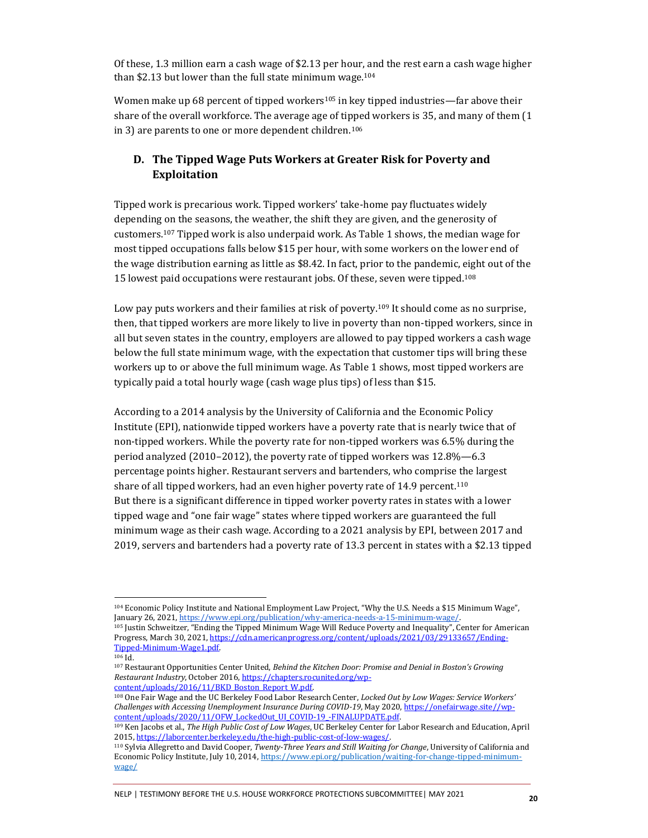Of these, 1.3 million earn a cash wage of \$2.13 per hour, and the rest earn a cash wage higher than \$2.13 but lower than the full state minimum wage. $104$ 

Women make up 68 percent of tipped workers<sup>105</sup> in key tipped industries—far above their share of the overall workforce. The average age of tipped workers is 35, and many of them (1 in 3) are parents to one or more dependent children.<sup>106</sup>

## **D. The Tipped Wage Puts Workers at Greater Risk for Poverty and Exploitation**

Tipped work is precarious work. Tipped workers' take-home pay fluctuates widely depending on the seasons, the weather, the shift they are given, and the generosity of customers.<sup>107</sup> Tipped work is also underpaid work. As Table 1 shows, the median wage for most tipped occupations falls below \$15 per hour, with some workers on the lower end of the wage distribution earning as little as \$8.42. In fact, prior to the pandemic, eight out of the 15 lowest paid occupations were restaurant jobs. Of these, seven were tipped.<sup>108</sup>

Low pay puts workers and their families at risk of poverty.<sup>109</sup> It should come as no surprise, then, that tipped workers are more likely to live in poverty than non-tipped workers, since in all but seven states in the country, employers are allowed to pay tipped workers a cash wage below the full state minimum wage, with the expectation that customer tips will bring these workers up to or above the full minimum wage. As Table 1 shows, most tipped workers are typically paid a total hourly wage (cash wage plus tips) of less than \$15.

According to a 2014 analysis by the University of California and the Economic Policy Institute (EPI), nationwide tipped workers have a poverty rate that is nearly twice that of non-tipped workers. While the poverty rate for non-tipped workers was 6.5% during the period analyzed (2010–2012), the poverty rate of tipped workers was 12.8%—6.3 percentage points higher. Restaurant servers and bartenders, who comprise the largest share of all tipped workers, had an even higher poverty rate of 14.9 percent.<sup>110</sup> But there is a significant difference in tipped worker poverty rates in states with a lower tipped wage and "one fair wage" states where tipped workers are guaranteed the full minimum wage as their cash wage. According to a 2021 analysis by EPI, between 2017 and 2019, servers and bartenders had a poverty rate of 13.3 percent in states with a \$2.13 tipped

<sup>104</sup> Economic Policy Institute and National Employment Law Project, "Why the U.S. Needs a \$15 Minimum Wage", January 26, 2021, https://www.epi.org/publication/why-america-needs-a-15-minimum-wage/.

<sup>105</sup> Justin Schweitzer, "Ending the Tipped Minimum Wage Will Reduce Poverty and Inequality", Center for American Progress, March 30, 2021[, https://cdn.americanprogress.org/content/uploads/2021/03/29133657/Ending-](https://cdn.americanprogress.org/content/uploads/2021/03/29133657/Ending-Tipped-Minimum-Wage1.pdf)[Tipped-Minimum-Wage1.pdf.](https://cdn.americanprogress.org/content/uploads/2021/03/29133657/Ending-Tipped-Minimum-Wage1.pdf)

 $106$  Id.

<sup>107</sup> Restaurant Opportunities Center United, *Behind the Kitchen Door: Promise and Denial in Boston's Growing Restaurant Industry*, October 2016[, https://chapters.rocunited.org/wp](https://chapters.rocunited.org/wp-content/uploads/2016/11/BKD_Boston_Report_W.pdf)[content/uploads/2016/11/BKD\\_Boston\\_Report\\_W.pdf.](https://chapters.rocunited.org/wp-content/uploads/2016/11/BKD_Boston_Report_W.pdf)

<sup>108</sup> One Fair Wage and the UC Berkeley Food Labor Research Center, *Locked Out by Low Wages: Service Workers' Challenges with Accessing Unemployment Insurance During COVID-19*, May 2020[, https://onefairwage.site//wp](https://onefairwage.site/wp-content/uploads/2020/11/OFW_LockedOut_UI_COVID-19_-FINALUPDATE.pdf)content/uploads/2020/11/OFW\_LockedOut\_UI\_COVID-19\_-FINALUPDATE.pdf.

<sup>109</sup> Ken Jacobs et al., *The High Public Cost of Low Wages*, UC Berkeley Center for Labor Research and Education, April 2015[, https://laborcenter.berkeley.edu/the-high-public-cost-of-low-wages/.](https://laborcenter.berkeley.edu/the-high-public-cost-of-low-wages/)

<sup>110</sup> Sylvia Allegretto and David Cooper, *Twenty-Three Years and Still Waiting for Change*, University of California and Economic Policy Institute, July 10, 2014[, https://www.epi.org/publication/waiting-for-change-tipped-minimum](https://www.epi.org/publication/waiting-for-change-tipped-minimum-wage/)[wage/](https://www.epi.org/publication/waiting-for-change-tipped-minimum-wage/)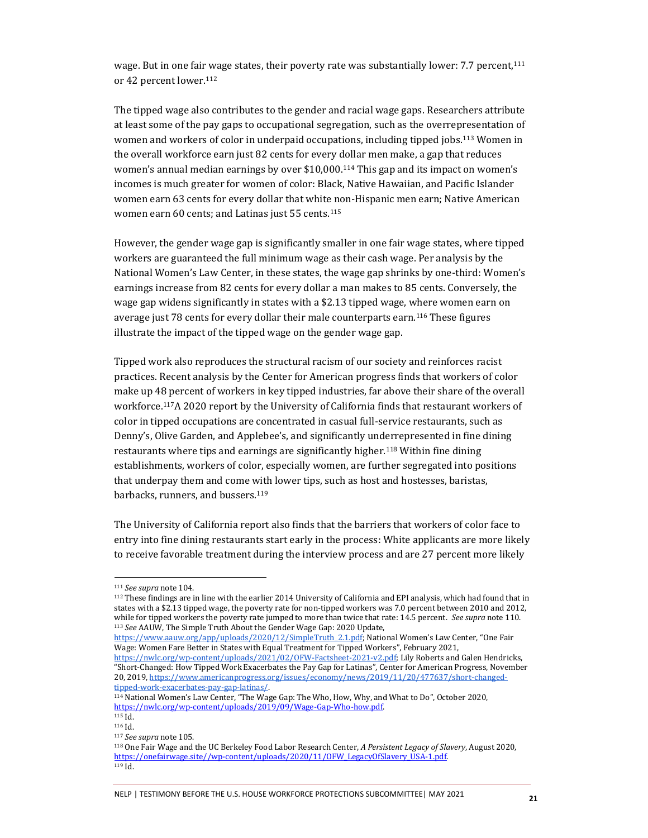wage. But in one fair wage states, their poverty rate was substantially lower: 7.7 percent,<sup>111</sup> or 42 percent lower.<sup>112</sup>

The tipped wage also contributes to the gender and racial wage gaps. Researchers attribute at least some of the pay gaps to occupational segregation, such as the overrepresentation of women and workers of color in underpaid occupations, including tipped jobs.<sup>113</sup> Women in the overall workforce earn just 82 cents for every dollar men make, a gap that reduces women's annual median earnings by over \$10,000.<sup>114</sup> This gap and its impact on women's incomes is much greater for women of color: Black, Native Hawaiian, and Pacific Islander women earn 63 cents for every dollar that white non-Hispanic men earn; Native American women earn 60 cents; and Latinas just 55 cents.<sup>115</sup>

However, the gender wage gap is significantly smaller in one fair wage states, where tipped workers are guaranteed the full minimum wage as their cash wage. Per analysis by the National Women's Law Center, in these states, the wage gap shrinks by one-third: Women's earnings increase from 82 cents for every dollar a man makes to 85 cents. Conversely, the wage gap widens significantly in states with a \$2.13 tipped wage, where women earn on average just 78 cents for every dollar their male counterparts earn.<sup>116</sup> These figures illustrate the impact of the tipped wage on the gender wage gap.

Tipped work also reproduces the structural racism of our society and reinforces racist practices. Recent analysis by the Center for American progress finds that workers of color make up 48 percent of workers in key tipped industries, far above their share of the overall workforce.117A 2020 report by the University of California finds that restaurant workers of color in tipped occupations are concentrated in casual full-service restaurants, such as Denny's, Olive Garden, and Applebee's, and significantly underrepresented in fine dining restaurants where tips and earnings are significantly higher.<sup>118</sup> Within fine dining establishments, workers of color, especially women, are further segregated into positions that underpay them and come with lower tips, such as host and hostesses, baristas, barbacks, runners, and bussers.<sup>119</sup>

The University of California report also finds that the barriers that workers of color face to entry into fine dining restaurants start early in the process: White applicants are more likely to receive favorable treatment during the interview process and are 27 percent more likely

[https://www.aauw.org/app/uploads/2020/12/SimpleTruth\\_2.1.pdf](https://www.aauw.org/app/uploads/2020/12/SimpleTruth_2.1.pdf); National Women's Law Center, "One Fair Wage: Women Fare Better in States with Equal Treatment for Tipped Workers", February 2021,

NELP | TESTIMONY BEFORE THE U.S. HOUSE WORKFORCE PROTECTIONS SUBCOMMITTEE| MAY 2021 **<sup>21</sup>**

<sup>111</sup> *See supra* note 104.

<sup>112</sup> These findings are in line with the earlier 2014 University of California and EPI analysis, which had found that in states with a \$2.13 tipped wage, the poverty rate for non-tipped workers was 7.0 percent between 2010 and 2012, while for tipped workers the poverty rate jumped to more than twice that rate: 14.5 percent. *See supra* note 110. <sup>113</sup> *See* AAUW, The Simple Truth About the Gender Wage Gap: 2020 Update,

[https://nwlc.org/wp-content/uploads/2021/02/OFW-Factsheet-2021-v2.pdf;](https://nwlc.org/wp-content/uploads/2021/02/OFW-Factsheet-2021-v2.pdf) Lily Roberts and Galen Hendricks, "Short-Changed: How Tipped Work Exacerbates the Pay Gap for Latinas", Center for American Progress, November 20, 2019[, https://www.americanprogress.org/issues/economy/news/2019/11/20/477637/short-changed](https://www.americanprogress.org/issues/economy/news/2019/11/20/477637/short-changed-tipped-work-exacerbates-pay-gap-latinas/)[tipped-work-exacerbates-pay-gap-latinas/.](https://www.americanprogress.org/issues/economy/news/2019/11/20/477637/short-changed-tipped-work-exacerbates-pay-gap-latinas/) 

<sup>114</sup> National Women's Law Center, "The Wage Gap: The Who, How, Why, and What to Do", October 2020, [https://nwlc.org/wp-content/uploads/2019/09/Wage-Gap-Who-how.pdf.](https://nwlc.org/wp-content/uploads/2019/09/Wage-Gap-Who-how.pdf)  $\frac{115}{115}$  Id.

<sup>116</sup> Id.

<sup>117</sup> *See supra* note 105.

<sup>118</sup> One Fair Wage and the UC Berkeley Food Labor Research Center, *A Persistent Legacy of Slavery*, August 2020, [https://onefairwage.site//wp-content/uploads/2020/11/OFW\\_LegacyOfSlavery\\_USA-1.pdf.](https://onefairwage.site/wp-content/uploads/2020/11/OFW_LegacyOfSlavery_USA-1.pdf)  $119$  Id.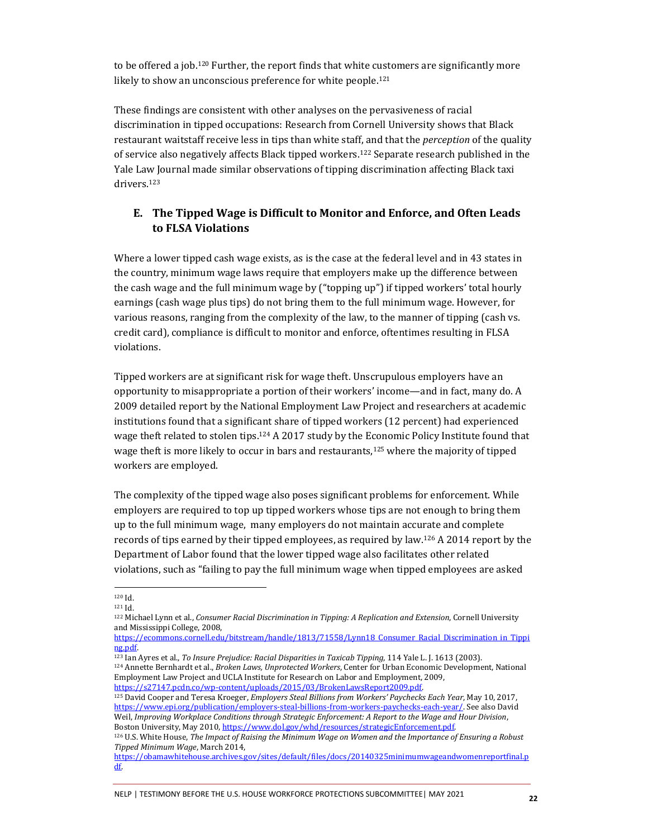to be offered a job.<sup>120</sup> Further, the report finds that white customers are significantly more likely to show an unconscious preference for white people.<sup>121</sup>

These findings are consistent with other analyses on the pervasiveness of racial discrimination in tipped occupations: Research from Cornell University shows that Black restaurant waitstaff receive less in tips than white staff, and that the *perception* of the quality of service also negatively affects Black tipped workers.<sup>122</sup> Separate research published in the Yale Law Journal made similar observations of tipping discrimination affecting Black taxi drivers.<sup>123</sup>

#### **E. The Tipped Wage is Difficult to Monitor and Enforce, and Often Leads to FLSA Violations**

Where a lower tipped cash wage exists, as is the case at the federal level and in 43 states in the country, minimum wage laws require that employers make up the difference between the cash wage and the full minimum wage by ("topping up") if tipped workers' total hourly earnings (cash wage plus tips) do not bring them to the full minimum wage. However, for various reasons, ranging from the complexity of the law, to the manner of tipping (cash vs. credit card), compliance is difficult to monitor and enforce, oftentimes resulting in FLSA violations.

Tipped workers are at significant risk for wage theft. Unscrupulous employers have an opportunity to misappropriate a portion of their workers' income—and in fact, many do. A 2009 detailed report by the National Employment Law Project and researchers at academic institutions found that a significant share of tipped workers (12 percent) had experienced wage theft related to stolen tips.<sup>124</sup> A 2017 study by the Economic Policy Institute found that wage theft is more likely to occur in bars and restaurants,<sup>125</sup> where the majority of tipped workers are employed.

The complexity of the tipped wage also poses significant problems for enforcement. While employers are required to top up tipped workers whose tips are not enough to bring them up to the full minimum wage, many employers do not maintain accurate and complete records of tips earned by their tipped employees, as required by law.<sup>126</sup> A 2014 report by the Department of Labor found that the lower tipped wage also facilitates other related violations, such as "failing to pay the full minimum wage when tipped employees are asked

<sup>123</sup> Ian Ayres et al., *To Insure Prejudice: Racial Disparities in Taxicab Tipping*, 114 Yale L. J. 1613 (2003). <sup>124</sup> Annette Bernhardt et al., *Broken Laws, Unprotected Workers*, Center for Urban Economic Development, National

Employment Law Project and UCLA Institute for Research on Labor and Employment, 2009, [https://s27147.pcdn.co/wp-content/uploads/2015/03/BrokenLawsReport2009.pdf.](https://s27147.pcdn.co/wp-content/uploads/2015/03/BrokenLawsReport2009.pdf)

<sup>125</sup> David Cooper and Teresa Kroeger, *Employers Steal Billions from Workers' Paychecks Each Year*, May 10, 2017, [https://www.epi.org/publication/employers-steal-billions-from-workers-paychecks-each-year/.](https://www.epi.org/publication/employers-steal-billions-from-workers-paychecks-each-year/) See also David Weil, *Improving Workplace Conditions through Strategic Enforcement: A Report to the Wage and Hour Division*, Boston University, May 2010[, https://www.dol.gov/whd/resources/strategicEnforcement.pdf.](https://www.dol.gov/whd/resources/strategicEnforcement.pdf)

<sup>120</sup> Id.

<sup>121</sup> Id.

<sup>122</sup> Michael Lynn et al., *Consumer Racial Discrimination in Tipping: A Replication and Extension*, Cornell University and Mississippi College, 2008,

https://ecommons.cornell.edu/bitstream/handle/1813/71558/Lynn18 Consumer Racial Discrimination in Tippi [ng.pdf.](https://ecommons.cornell.edu/bitstream/handle/1813/71558/Lynn18_Consumer_Racial_Discrimination_in_Tipping.pdf)

<sup>126</sup> U.S. White House, *The Impact of Raising the Minimum Wage on Women and the Importance of Ensuring a Robust Tipped Minimum Wage*, March 2014,

[https://obamawhitehouse.archives.gov/sites/default/files/docs/20140325minimumwageandwomenreportfinal.p](https://obamawhitehouse.archives.gov/sites/default/files/docs/20140325minimumwageandwomenreportfinal.pdf) [df.](https://obamawhitehouse.archives.gov/sites/default/files/docs/20140325minimumwageandwomenreportfinal.pdf)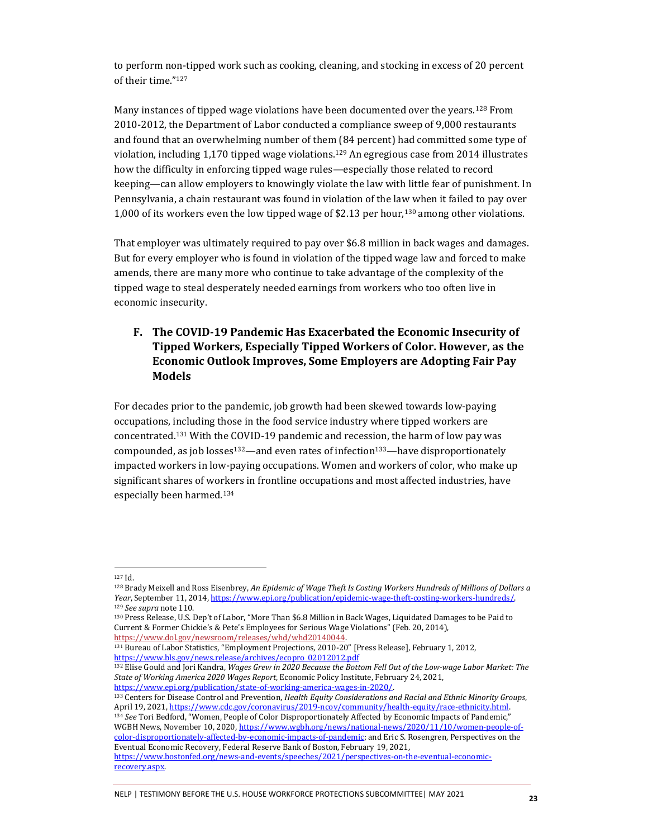to perform non-tipped work such as cooking, cleaning, and stocking in excess of 20 percent of their time."<sup>127</sup>

Many instances of tipped wage violations have been documented over the years.<sup>128</sup> From 2010-2012, the Department of Labor conducted a compliance sweep of 9,000 restaurants and found that an overwhelming number of them (84 percent) had committed some type of violation, including  $1,170$  tipped wage violations.<sup>129</sup> An egregious case from 2014 illustrates how the difficulty in enforcing tipped wage rules—especially those related to record keeping—can allow employers to knowingly violate the law with little fear of punishment. In Pennsylvania, a chain restaurant was found in violation of the law when it failed to pay over 1,000 of its workers even the low tipped wage of \$2.13 per hour,<sup>130</sup> among other violations.

That employer was ultimately required to pay over \$6.8 million in back wages and damages. But for every employer who is found in violation of the tipped wage law and forced to make amends, there are many more who continue to take advantage of the complexity of the tipped wage to steal desperately needed earnings from workers who too often live in economic insecurity.

## **F. The COVID-19 Pandemic Has Exacerbated the Economic Insecurity of Tipped Workers, Especially Tipped Workers of Color. However, as the Economic Outlook Improves, Some Employers are Adopting Fair Pay Models**

For decades prior to the pandemic, job growth had been skewed towards low-paying occupations, including those in the food service industry where tipped workers are concentrated.<sup>131</sup> With the COVID-19 pandemic and recession, the harm of low pay was compounded, as job losses<sup>132</sup>—and even rates of infection<sup>133</sup>—have disproportionately impacted workers in low-paying occupations. Women and workers of color, who make up significant shares of workers in frontline occupations and most affected industries, have especially been harmed.<sup>134</sup>

<sup>132</sup> Elise Gould and Jori Kandra, *Wages Grew in 2020 Because the Bottom Fell Out of the Low-wage Labor Market: The State of Working America 2020 Wages Report*, Economic Policy Institute, February 24, 2021, [https://www.epi.org/publication/state-of-working-america-wages-in-2020/.](https://www.epi.org/publication/state-of-working-america-wages-in-2020/)

<sup>127</sup> Id.

<sup>128</sup> Brady Meixell and Ross Eisenbrey, *An Epidemic of Wage Theft Is Costing Workers Hundreds of Millions of Dollars a Year*, September 11, 2014[, https://www.epi.org/publication/epidemic-wage-theft-costing-workers-hundreds/.](https://www.epi.org/publication/epidemic-wage-theft-costing-workers-hundreds/) <sup>129</sup> *See supra* note 110.

<sup>130</sup> Press Release, U.S. Dep't of Labor, "More Than \$6.8 Million in Back Wages, Liquidated Damages to be Paid to Current & Former Chickie's & Pete's Employees for Serious Wage Violations" (Feb. 20, 2014), [https://www.dol.gov/newsroom/releases/whd/whd20140044.](https://www.dol.gov/newsroom/releases/whd/whd20140044) 

<sup>131</sup> Bureau of Labor Statistics, "Employment Projections, 2010-20" [Press Release], February 1, 2012, [https://www.bls.gov/news.release/archives/ecopro\\_02012012.pdf](https://www.bls.gov/news.release/archives/ecopro_02012012.pdf)

<sup>133</sup> Centers for Disease Control and Prevention, *Health Equity Considerations and Racial and Ethnic Minority Groups*, April 19, 2021[, https://www.cdc.gov/coronavirus/2019-ncov/community/health-equity/race-ethnicity.html.](https://www.cdc.gov/coronavirus/2019-ncov/community/health-equity/race-ethnicity.html) <sup>134</sup> *See* Tori Bedford, "Women, People of Color Disproportionately Affected by Economic Impacts of Pandemic," WGBH News, November 10, 2020[, https://www.wgbh.org/news/national-news/2020/11/10/women-people-of](https://www.wgbh.org/news/national-news/2020/11/10/women-people-of-color-disproportionately-affected-by-economic-impacts-of-pandemic)[color-disproportionately-affected-by-economic-impacts-of-pandemic;](https://www.wgbh.org/news/national-news/2020/11/10/women-people-of-color-disproportionately-affected-by-economic-impacts-of-pandemic) and Eric S. Rosengren, Perspectives on the Eventual Economic Recovery, Federal Reserve Bank of Boston, February 19, 2021, [https://www.bostonfed.org/news-and-events/speeches/2021/perspectives-on-the-eventual-economic](https://www.bostonfed.org/news-and-events/speeches/2021/perspectives-on-the-eventual-economic-recovery.aspx)[recovery.aspx.](https://www.bostonfed.org/news-and-events/speeches/2021/perspectives-on-the-eventual-economic-recovery.aspx)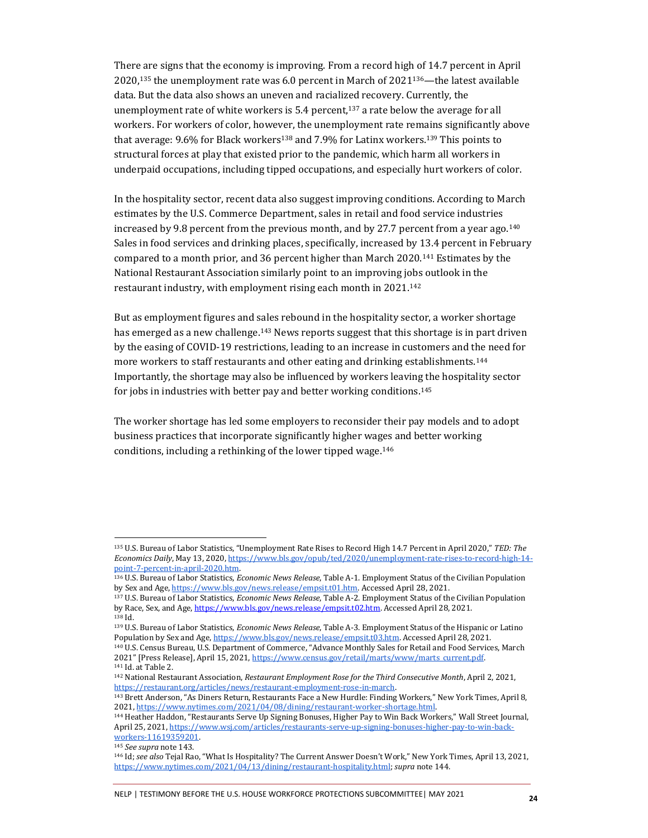There are signs that the economy is improving. From a record high of 14.7 percent in April 2020,<sup>135</sup> the unemployment rate was 6.0 percent in March of 2021136—the latest available data. But the data also shows an uneven and racialized recovery. Currently, the unemployment rate of white workers is 5.4 percent, $137$  a rate below the average for all workers. For workers of color, however, the unemployment rate remains significantly above that average: 9.6% for Black workers<sup>138</sup> and 7.9% for Latinx workers.<sup>139</sup> This points to structural forces at play that existed prior to the pandemic, which harm all workers in underpaid occupations, including tipped occupations, and especially hurt workers of color.

In the hospitality sector, recent data also suggest improving conditions. According to March estimates by the U.S. Commerce Department, sales in retail and food service industries increased by 9.8 percent from the previous month, and by 27.7 percent from a year ago.<sup>140</sup> Sales in food services and drinking places, specifically, increased by 13.4 percent in February compared to a month prior, and 36 percent higher than March 2020.<sup>141</sup> Estimates by the National Restaurant Association similarly point to an improving jobs outlook in the restaurant industry, with employment rising each month in 2021.<sup>142</sup>

But as employment figures and sales rebound in the hospitality sector, a worker shortage has emerged as a new challenge.<sup>143</sup> News reports suggest that this shortage is in part driven by the easing of COVID-19 restrictions, leading to an increase in customers and the need for more workers to staff restaurants and other eating and drinking establishments.<sup>144</sup> Importantly, the shortage may also be influenced by workers leaving the hospitality sector for jobs in industries with better pay and better working conditions. 145

The worker shortage has led some employers to reconsider their pay models and to adopt business practices that incorporate significantly higher wages and better working conditions, including a rethinking of the lower tipped wage.<sup>146</sup>

<sup>135</sup> U.S. Bureau of Labor Statistics, "Unemployment Rate Rises to Record High 14.7 Percent in April 2020," *TED: The Economics Daily*, May 13, 2020[, https://www.bls.gov/opub/ted/2020/unemployment-rate-rises-to-record-high-14](https://www.bls.gov/opub/ted/2020/unemployment-rate-rises-to-record-high-14-point-7-percent-in-april-2020.htm) [point-7-percent-in-april-2020.htm.](https://www.bls.gov/opub/ted/2020/unemployment-rate-rises-to-record-high-14-point-7-percent-in-april-2020.htm) 

<sup>136</sup> U.S. Bureau of Labor Statistics, *Economic News Release*, Table A-1. Employment Status of the Civilian Population by Sex and Age[, https://www.bls.gov/news.release/empsit.t01.htm.](https://www.bls.gov/news.release/empsit.t01.htm) Accessed April 28, 2021.

<sup>137</sup> U.S. Bureau of Labor Statistics, *Economic News Release*, Table A-2. Employment Status of the Civilian Population by Race, Sex, and Age[, https://www.bls.gov/news.release/empsit.t02.htm.](https://www.bls.gov/news.release/empsit.t02.htm) Accessed April 28, 2021. <sup>138</sup> Id.

<sup>139</sup> U.S. Bureau of Labor Statistics, *Economic News Release*, Table A-3. Employment Status of the Hispanic or Latino Population by Sex and Age[, https://www.bls.gov/news.release/empsit.t03.htm.](https://www.bls.gov/news.release/empsit.t03.htm) Accessed April 28, 2021.

<sup>140</sup> U.S. Census Bureau, U.S. Department of Commerce, "Advance Monthly Sales for Retail and Food Services, March 2021" [Press Release], April 15, 2021, https://www.census.gov/retail/marts/www/marts\_current.pdf. <sup>141</sup> Id. at Table 2.

<sup>142</sup> National Restaurant Association, *Restaurant Employment Rose for the Third Consecutive Month*, April 2, 2021, [https://restaurant.org/articles/news/restaurant-employment-rose-in-march.](https://restaurant.org/articles/news/restaurant-employment-rose-in-march) 

<sup>143</sup> Brett Anderson, "As Diners Return, Restaurants Face a New Hurdle: Finding Workers," New York Times, April 8, 2021[, https://www.nytimes.com/2021/04/08/dining/restaurant-worker-shortage.html.](https://www.nytimes.com/2021/04/08/dining/restaurant-worker-shortage.html) 

<sup>144</sup> Heather Haddon, "Restaurants Serve Up Signing Bonuses, Higher Pay to Win Back Workers," Wall Street Journal, April 25, 2021[, https://www.wsj.com/articles/restaurants-serve-up-signing-bonuses-higher-pay-to-win-back](https://www.wsj.com/articles/restaurants-serve-up-signing-bonuses-higher-pay-to-win-back-workers-11619359201)workers-11619359201.

<sup>145</sup> *See supra* note 143.

<sup>146</sup> Id; *see also* Tejal Rao, "What Is Hospitality? The Current Answer Doesn't Work," New York Times, April 13, 2021, [https://www.nytimes.com/2021/04/13/dining/restaurant-hospitality.html;](https://www.nytimes.com/2021/04/13/dining/restaurant-hospitality.html) *supra* note 144[.](https://www.wsj.com/articles/restaurants-serve-up-signing-bonuses-higher-pay-to-win-back-workers-11619359201)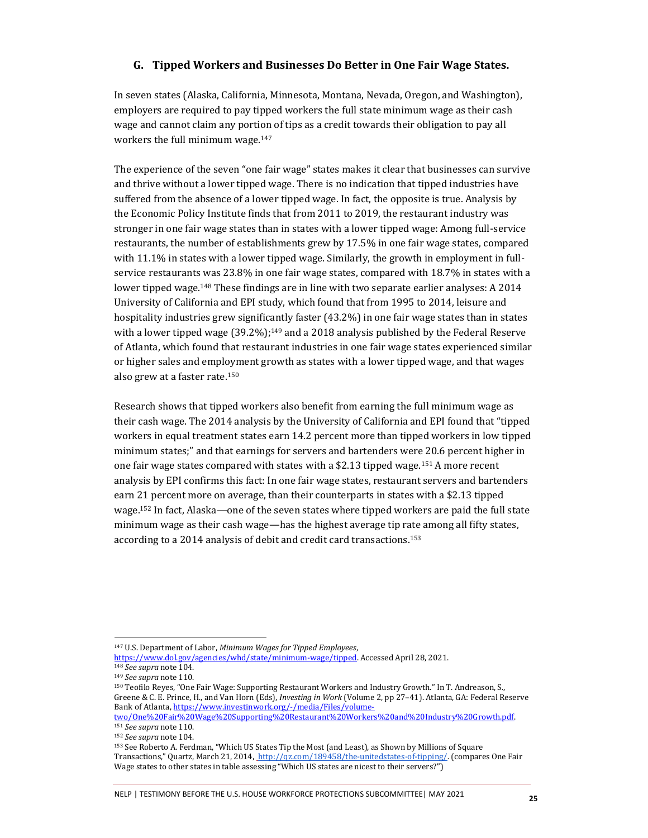#### **G. Tipped Workers and Businesses Do Better in One Fair Wage States.**

In seven states (Alaska, California, Minnesota, Montana, Nevada, Oregon, and Washington), employers are required to pay tipped workers the full state minimum wage as their cash wage and cannot claim any portion of tips as a credit towards their obligation to pay all workers the full minimum wage.<sup>147</sup>

The experience of the seven "one fair wage" states makes it clear that businesses can survive and thrive without a lower tipped wage. There is no indication that tipped industries have suffered from the absence of a lower tipped wage. In fact, the opposite is true. Analysis by the Economic Policy Institute finds that from 2011 to 2019, the restaurant industry was stronger in one fair wage states than in states with a lower tipped wage: Among full-service restaurants, the number of establishments grew by 17.5% in one fair wage states, compared with 11.1% in states with a lower tipped wage. Similarly, the growth in employment in fullservice restaurants was 23.8% in one fair wage states, compared with 18.7% in states with a lower tipped wage.<sup>148</sup> These findings are in line with two separate earlier analyses: A 2014 University of California and EPI study, which found that from 1995 to 2014, leisure and hospitality industries grew significantly faster (43.2%) in one fair wage states than in states with a lower tipped wage  $(39.2\%)$ ;<sup>149</sup> and a 2018 analysis published by the Federal Reserve of Atlanta, which found that restaurant industries in one fair wage states experienced similar or higher sales and employment growth as states with a lower tipped wage, and that wages also grew at a faster rate.<sup>150</sup>

Research shows that tipped workers also benefit from earning the full minimum wage as their cash wage. The 2014 analysis by the University of California and EPI found that "tipped workers in equal treatment states earn 14.2 percent more than tipped workers in low tipped minimum states;" and that earnings for servers and bartenders were 20.6 percent higher in one fair wage states compared with states with a \$2.13 tipped wage.<sup>151</sup> A more recent analysis by EPI confirms this fact: In one fair wage states, restaurant servers and bartenders earn 21 percent more on average, than their counterparts in states with a \$2.13 tipped wage.<sup>152</sup> In fact, Alaska—one of the seven states where tipped workers are paid the full state minimum wage as their cash wage—has the highest average tip rate among all fifty states, according to a 2014 analysis of debit and credit card transactions.<sup>153</sup>

<sup>147</sup> U.S. Department of Labor, *Minimum Wages for Tipped Employees*,

[https://www.dol.gov/agencies/whd/state/minimum-wage/tipped.](https://www.dol.gov/agencies/whd/state/minimum-wage/tipped) Accessed April 28, 2021.

<sup>148</sup> *See supra* note 104.

<sup>149</sup> *See supra* note 110.

<sup>150</sup> Teofilo Reyes, "One Fair Wage: Supporting Restaurant Workers and Industry Growth." In T. Andreason, S., Greene & C. E. Prince, H., and Van Horn (Eds), *Investing in Work* (Volume 2, pp 27–41). Atlanta, GA: Federal Reserve Bank of Atlanta, [https://www.investinwork.org/-/media/Files/volume-](https://www.investinwork.org/-/media/Files/volume-two/One%20Fair%20Wage%20Supporting%20Restaurant%20Workers%20and%20Industry%20Growth.pdf)

[two/One%20Fair%20Wage%20Supporting%20Restaurant%20Workers%20and%20Industry%20Growth.pdf.](https://www.investinwork.org/-/media/Files/volume-two/One%20Fair%20Wage%20Supporting%20Restaurant%20Workers%20and%20Industry%20Growth.pdf)  <sup>151</sup> *See supra* note 110.

<sup>152</sup> *See supra* note 104.

<sup>153</sup> See Roberto A. Ferdman, "Which US States Tip the Most (and Least), as Shown by Millions of Square Transactions," Quartz, March 21, 2014, [http://qz.com/189458/the-unitedstates-of-tipping/.](http://qz.com/189458/the-unitedstates-of-tipping/) (compares One Fair Wage states to other states in table assessing "Which US states are nicest to their servers?")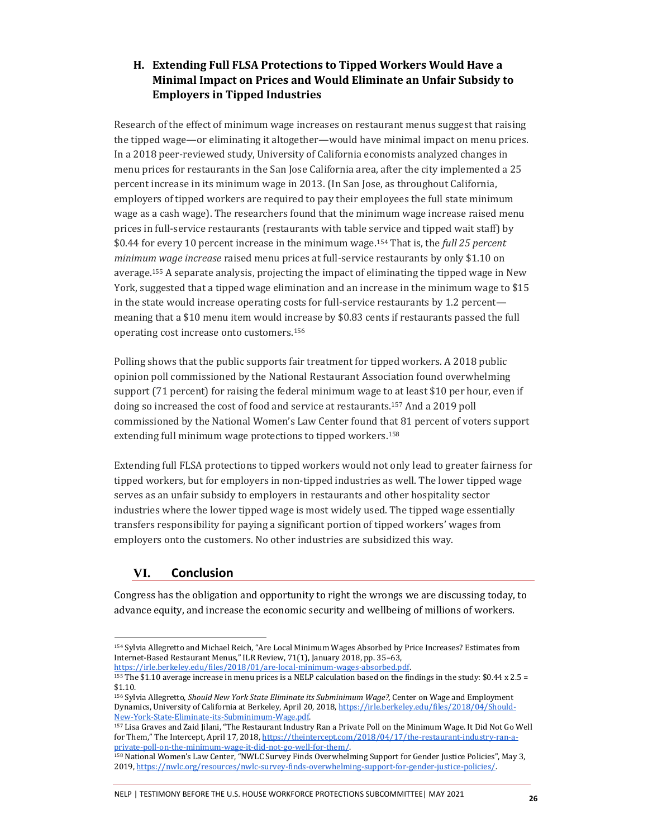## **H. Extending Full FLSA Protections to Tipped Workers Would Have a Minimal Impact on Prices and Would Eliminate an Unfair Subsidy to Employers in Tipped Industries**

Research of the effect of minimum wage increases on restaurant menus suggest that raising the tipped wage—or eliminating it altogether—would have minimal impact on menu prices. In a 2018 peer-reviewed study, University of California economists analyzed changes in menu prices for restaurants in the San Jose California area, after the city implemented a 25 percent increase in its minimum wage in 2013. (In San Jose, as throughout California, employers of tipped workers are required to pay their employees the full state minimum wage as a cash wage). The researchers found that the minimum wage increase raised menu prices in full-service restaurants (restaurants with table service and tipped wait staff) by \$0.44 for every 10 percent increase in the minimum wage.<sup>154</sup> That is, the *full 25 percent minimum wage increase* raised menu prices at full-service restaurants by only \$1.10 on average.<sup>155</sup> A separate analysis, projecting the impact of eliminating the tipped wage in New York, suggested that a tipped wage elimination and an increase in the minimum wage to \$15 in the state would increase operating costs for full-service restaurants by 1.2 percent meaning that a \$10 menu item would increase by \$0.83 cents if restaurants passed the full operating cost increase onto customers.<sup>156</sup>

Polling shows that the public supports fair treatment for tipped workers. A 2018 public opinion poll commissioned by the National Restaurant Association found overwhelming support (71 percent) for raising the federal minimum wage to at least \$10 per hour, even if doing so increased the cost of food and service at restaurants.<sup>157</sup> And a 2019 poll commissioned by the National Women's Law Center found that 81 percent of voters support extending full minimum wage protections to tipped workers.<sup>158</sup>

Extending full FLSA protections to tipped workers would not only lead to greater fairness for tipped workers, but for employers in non-tipped industries as well. The lower tipped wage serves as an unfair subsidy to employers in restaurants and other hospitality sector industries where the lower tipped wage is most widely used. The tipped wage essentially transfers responsibility for paying a significant portion of tipped workers' wages from employers onto the customers. No other industries are subsidized this way.

## **VI. Conclusion**

Congress has the obligation and opportunity to right the wrongs we are discussing today, to advance equity, and increase the economic security and wellbeing of millions of workers.

## NELP | TESTIMONY BEFORE THE U.S. HOUSE WORKFORCE PROTECTIONS SUBCOMMITTEE| MAY 2021 **<sup>26</sup>**

<sup>154</sup> Sylvia Allegretto and Michael Reich, "Are Local Minimum Wages Absorbed by Price Increases? Estimates from Internet-Based Restaurant Menus," ILR Review, 71(1), January 2018, pp. 35–63,

[https://irle.berkeley.edu/files/2018/01/are-local-minimum-wages-absorbed.pdf.](https://irle.berkeley.edu/files/2018/01/are-local-minimum-wages-absorbed.pdf) 

<sup>155</sup> The \$1.10 average increase in menu prices is a NELP calculation based on the findings in the study: \$0.44 x 2.5 = \$1.10.

<sup>156</sup> Sylvia Allegretto, *Should New York State Eliminate its Subminimum Wage?,* Center on Wage and Employment Dynamics, University of California at Berkeley, April 20, 2018[, https://irle.berkeley.edu/files/2018/04/Should-](https://irle.berkeley.edu/files/2018/04/Should-New-York-State-Eliminate-its-Subminimum-Wage.pdf)[New-York-State-Eliminate-its-Subminimum-Wage.pdf.](https://irle.berkeley.edu/files/2018/04/Should-New-York-State-Eliminate-its-Subminimum-Wage.pdf) 

<sup>157</sup> Lisa Graves and Zaid Jilani, "The Restaurant Industry Ran a Private Poll on the Minimum Wage. It Did Not Go Well for Them," The Intercept, April 17, 2018[, https://theintercept.com/2018/04/17/the-restaurant-industry-ran-a](https://theintercept.com/2018/04/17/the-restaurant-industry-ran-a-private-poll-on-the-minimum-wage-it-did-not-go-well-for-them/)[private-poll-on-the-minimum-wage-it-did-not-go-well-for-them/.](https://theintercept.com/2018/04/17/the-restaurant-industry-ran-a-private-poll-on-the-minimum-wage-it-did-not-go-well-for-them/) 

<sup>158</sup> National Women's Law Center, "NWLC Survey Finds Overwhelming Support for Gender Justice Policies", May 3, 2019[, https://nwlc.org/resources/nwlc-survey-finds-overwhelming-support-for-gender-justice-policies/.](https://nwlc.org/resources/nwlc-survey-finds-overwhelming-support-for-gender-justice-policies/)